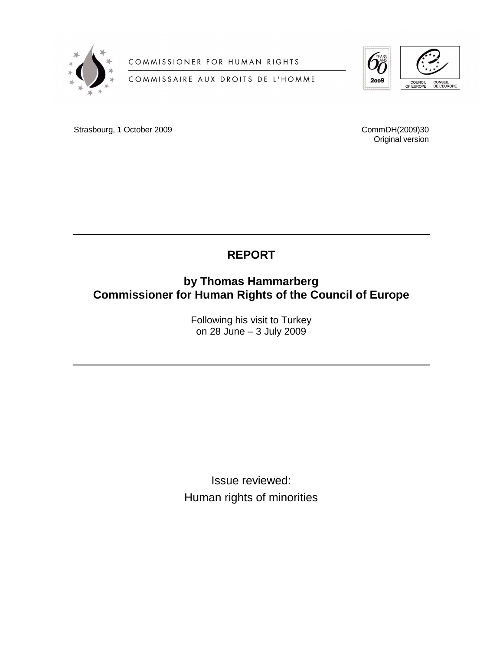

COMMISSIONER FOR HUMAN RIGHTS

COMMISSAIRE AUX DROITS DE L'HOMME



Strasbourg, 1 October 2009

CommDH(2009)30 Original version

# **REPORT**

## **by Thomas Hammarberg Commissioner for Human Rights of the Council of Europe**

Following his visit to Turkey on 28 June – 3 July 2009

Issue reviewed: Human rights of minorities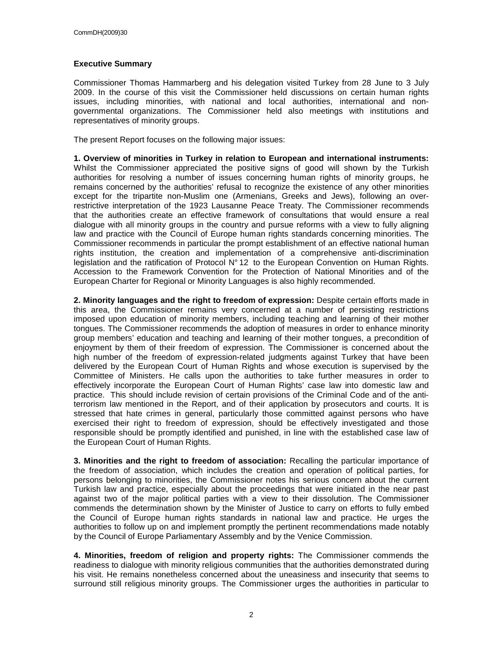#### **Executive Summary**

Commissioner Thomas Hammarberg and his delegation visited Turkey from 28 June to 3 July 2009. In the course of this visit the Commissioner held discussions on certain human rights issues, including minorities, with national and local authorities, international and nongovernmental organizations. The Commissioner held also meetings with institutions and representatives of minority groups.

The present Report focuses on the following major issues:

**1. Overview of minorities in Turkey in relation to European and international instruments:** Whilst the Commissioner appreciated the positive signs of good will shown by the Turkish authorities for resolving a number of issues concerning human rights of minority groups, he remains concerned by the authorities' refusal to recognize the existence of any other minorities except for the tripartite non-Muslim one (Armenians, Greeks and Jews), following an overrestrictive interpretation of the 1923 Lausanne Peace Treaty. The Commissioner recommends that the authorities create an effective framework of consultations that would ensure a real dialogue with all minority groups in the country and pursue reforms with a view to fully aligning law and practice with the Council of Europe human rights standards concerning minorities. The Commissioner recommends in particular the prompt establishment of an effective national human rights institution, the creation and implementation of a comprehensive anti-discrimination legislation and the ratification of Protocol N° 12 to the European Convention on Human Rights. Accession to the Framework Convention for the Protection of National Minorities and of the European Charter for Regional or Minority Languages is also highly recommended.

**2. Minority languages and the right to freedom of expression:** Despite certain efforts made in this area, the Commissioner remains very concerned at a number of persisting restrictions imposed upon education of minority members, including teaching and learning of their mother tongues. The Commissioner recommends the adoption of measures in order to enhance minority group members' education and teaching and learning of their mother tongues, a precondition of enjoyment by them of their freedom of expression. The Commissioner is concerned about the high number of the freedom of expression-related judgments against Turkey that have been delivered by the European Court of Human Rights and whose execution is supervised by the Committee of Ministers. He calls upon the authorities to take further measures in order to effectively incorporate the European Court of Human Rights' case law into domestic law and practice. This should include revision of certain provisions of the Criminal Code and of the antiterrorism law mentioned in the Report, and of their application by prosecutors and courts. It is stressed that hate crimes in general, particularly those committed against persons who have exercised their right to freedom of expression, should be effectively investigated and those responsible should be promptly identified and punished, in line with the established case law of the European Court of Human Rights.

**3. Minorities and the right to freedom of association:** Recalling the particular importance of the freedom of association, which includes the creation and operation of political parties, for persons belonging to minorities, the Commissioner notes his serious concern about the current Turkish law and practice, especially about the proceedings that were initiated in the near past against two of the major political parties with a view to their dissolution. The Commissioner commends the determination shown by the Minister of Justice to carry on efforts to fully embed the Council of Europe human rights standards in national law and practice. He urges the authorities to follow up on and implement promptly the pertinent recommendations made notably by the Council of Europe Parliamentary Assembly and by the Venice Commission.

**4. Minorities, freedom of religion and property rights:** The Commissioner commends the readiness to dialogue with minority religious communities that the authorities demonstrated during his visit. He remains nonetheless concerned about the uneasiness and insecurity that seems to surround still religious minority groups. The Commissioner urges the authorities in particular to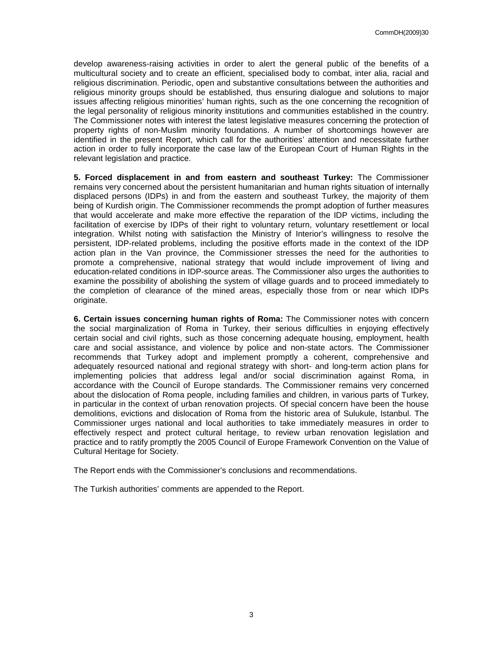develop awareness-raising activities in order to alert the general public of the benefits of a multicultural society and to create an efficient, specialised body to combat, inter alia, racial and religious discrimination. Periodic, open and substantive consultations between the authorities and religious minority groups should be established, thus ensuring dialogue and solutions to major issues affecting religious minorities' human rights, such as the one concerning the recognition of the legal personality of religious minority institutions and communities established in the country. The Commissioner notes with interest the latest legislative measures concerning the protection of property rights of non-Muslim minority foundations. A number of shortcomings however are identified in the present Report, which call for the authorities' attention and necessitate further action in order to fully incorporate the case law of the European Court of Human Rights in the relevant legislation and practice.

**5. Forced displacement in and from eastern and southeast Turkey:** The Commissioner remains very concerned about the persistent humanitarian and human rights situation of internally displaced persons (IDPs) in and from the eastern and southeast Turkey, the majority of them being of Kurdish origin. The Commissioner recommends the prompt adoption of further measures that would accelerate and make more effective the reparation of the IDP victims, including the facilitation of exercise by IDPs of their right to voluntary return, voluntary resettlement or local integration. Whilst noting with satisfaction the Ministry of Interior's willingness to resolve the persistent, IDP-related problems, including the positive efforts made in the context of the IDP action plan in the Van province, the Commissioner stresses the need for the authorities to promote a comprehensive, national strategy that would include improvement of living and education-related conditions in IDP-source areas. The Commissioner also urges the authorities to examine the possibility of abolishing the system of village guards and to proceed immediately to the completion of clearance of the mined areas, especially those from or near which IDPs originate.

**6. Certain issues concerning human rights of Roma:** The Commissioner notes with concern the social marginalization of Roma in Turkey, their serious difficulties in enjoying effectively certain social and civil rights, such as those concerning adequate housing, employment, health care and social assistance, and violence by police and non-state actors. The Commissioner recommends that Turkey adopt and implement promptly a coherent, comprehensive and adequately resourced national and regional strategy with short- and long-term action plans for implementing policies that address legal and/or social discrimination against Roma, in accordance with the Council of Europe standards. The Commissioner remains very concerned about the dislocation of Roma people, including families and children, in various parts of Turkey, in particular in the context of urban renovation projects. Of special concern have been the house demolitions, evictions and dislocation of Roma from the historic area of Sulukule, Istanbul. The Commissioner urges national and local authorities to take immediately measures in order to effectively respect and protect cultural heritage, to review urban renovation legislation and practice and to ratify promptly the 2005 Council of Europe Framework Convention on the Value of Cultural Heritage for Society.

The Report ends with the Commissioner's conclusions and recommendations.

The Turkish authorities' comments are appended to the Report.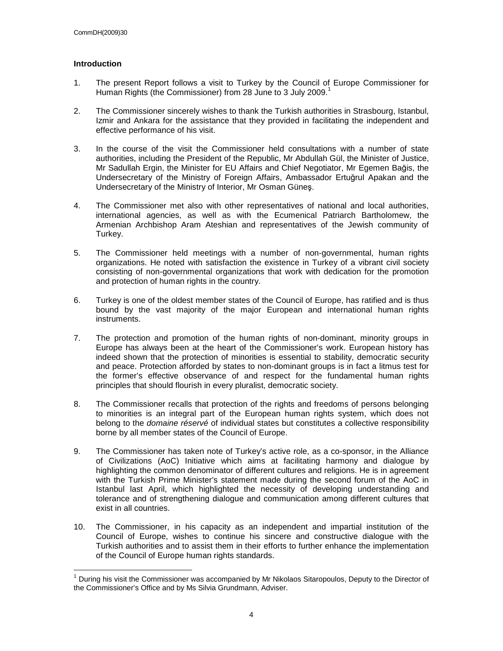#### **Introduction**

 $\overline{\phantom{a}}$ 

- 1. The present Report follows a visit to Turkey by the Council of Europe Commissioner for Human Rights (the Commissioner) from 28 June to 3 July 2009.<sup>1</sup>
- 2. The Commissioner sincerely wishes to thank the Turkish authorities in Strasbourg, Istanbul, Izmir and Ankara for the assistance that they provided in facilitating the independent and effective performance of his visit.
- 3. In the course of the visit the Commissioner held consultations with a number of state authorities, including the President of the Republic, Mr Abdullah Gül, the Minister of Justice, Mr Sadullah Ergin, the Minister for EU Affairs and Chief Negotiator, Mr Egemen Bağis, the Undersecretary of the Ministry of Foreign Affairs, Ambassador Ertuğrul Apakan and the Undersecretary of the Ministry of Interior, Mr Osman Güneş.
- 4. The Commissioner met also with other representatives of national and local authorities, international agencies, as well as with the Ecumenical Patriarch Bartholomew, the Armenian Archbishop Aram Ateshian and representatives of the Jewish community of Turkey.
- 5. The Commissioner held meetings with a number of non-governmental, human rights organizations. He noted with satisfaction the existence in Turkey of a vibrant civil society consisting of non-governmental organizations that work with dedication for the promotion and protection of human rights in the country.
- 6. Turkey is one of the oldest member states of the Council of Europe, has ratified and is thus bound by the vast majority of the major European and international human rights instruments.
- 7. The protection and promotion of the human rights of non-dominant, minority groups in Europe has always been at the heart of the Commissioner's work. European history has indeed shown that the protection of minorities is essential to stability, democratic security and peace. Protection afforded by states to non-dominant groups is in fact a litmus test for the former's effective observance of and respect for the fundamental human rights principles that should flourish in every pluralist, democratic society.
- 8. The Commissioner recalls that protection of the rights and freedoms of persons belonging to minorities is an integral part of the European human rights system, which does not belong to the *domaine réservé* of individual states but constitutes a collective responsibility borne by all member states of the Council of Europe.
- 9. The Commissioner has taken note of Turkey's active role, as a co-sponsor, in the Alliance of Civilizations (AoC) Initiative which aims at facilitating harmony and dialogue by highlighting the common denominator of different cultures and religions. He is in agreement with the Turkish Prime Minister's statement made during the second forum of the AoC in Istanbul last April, which highlighted the necessity of developing understanding and tolerance and of strengthening dialogue and communication among different cultures that exist in all countries.
- 10. The Commissioner, in his capacity as an independent and impartial institution of the Council of Europe, wishes to continue his sincere and constructive dialogue with the Turkish authorities and to assist them in their efforts to further enhance the implementation of the Council of Europe human rights standards.

<sup>1</sup> During his visit the Commissioner was accompanied by Mr Nikolaos Sitaropoulos, Deputy to the Director of the Commissioner's Office and by Ms Silvia Grundmann, Adviser.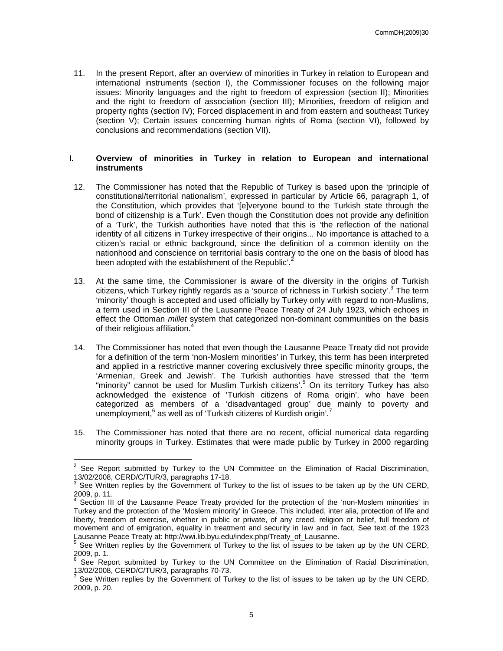11. In the present Report, after an overview of minorities in Turkey in relation to European and international instruments (section I), the Commissioner focuses on the following major issues: Minority languages and the right to freedom of expression (section II); Minorities and the right to freedom of association (section III); Minorities, freedom of religion and property rights (section IV); Forced displacement in and from eastern and southeast Turkey (section V); Certain issues concerning human rights of Roma (section VI), followed by conclusions and recommendations (section VII).

#### **I. Overview of minorities in Turkey in relation to European and international instruments**

- 12. The Commissioner has noted that the Republic of Turkey is based upon the 'principle of constitutional/territorial nationalism', expressed in particular by Article 66, paragraph 1, of the Constitution, which provides that '[e]veryone bound to the Turkish state through the bond of citizenship is a Turk'. Even though the Constitution does not provide any definition of a 'Turk', the Turkish authorities have noted that this is 'the reflection of the national identity of all citizens in Turkey irrespective of their origins... No importance is attached to a citizen's racial or ethnic background, since the definition of a common identity on the nationhood and conscience on territorial basis contrary to the one on the basis of blood has been adopted with the establishment of the Republic'.<sup>2</sup>
- 13. At the same time, the Commissioner is aware of the diversity in the origins of Turkish citizens, which Turkey rightly regards as a 'source of richness in Turkish society'.<sup>3</sup> The term 'minority' though is accepted and used officially by Turkey only with regard to non-Muslims, a term used in Section III of the Lausanne Peace Treaty of 24 July 1923, which echoes in effect the Ottoman *millet* system that categorized non-dominant communities on the basis of their religious affiliation.<sup>4</sup>
- 14. The Commissioner has noted that even though the Lausanne Peace Treaty did not provide for a definition of the term 'non-Moslem minorities' in Turkey, this term has been interpreted and applied in a restrictive manner covering exclusively three specific minority groups, the 'Armenian, Greek and Jewish'. The Turkish authorities have stressed that the 'term "minority" cannot be used for Muslim Turkish citizens'.<sup>5</sup> On its territory Turkey has also acknowledged the existence of 'Turkish citizens of Roma origin', who have been categorized as members of a 'disadvantaged group' due mainly to poverty and unemployment,<sup>6</sup> as well as of 'Turkish citizens of Kurdish origin'.<sup>7</sup>
- 15. The Commissioner has noted that there are no recent, official numerical data regarding minority groups in Turkey. Estimates that were made public by Turkey in 2000 regarding

**EXECUTE:**<br><sup>2</sup> See Report submitted by Turkey to the UN Committee on the Elimination of Racial Discrimination, 13/02/2008, CERD/C/TUR/3, paragraphs 17-18.

<sup>&</sup>lt;sup>3</sup> See Written replies by the Government of Turkey to the list of issues to be taken up by the UN CERD, 2009, p. 11.<br><sup>4</sup> Section III

Section III of the Lausanne Peace Treaty provided for the protection of the 'non-Moslem minorities' in Turkey and the protection of the 'Moslem minority' in Greece. This included, inter alia, protection of life and liberty, freedom of exercise, whether in public or private, of any creed, religion or belief, full freedom of movement and of emigration, equality in treatment and security in law and in fact, See text of the 1923 Lausanne Peace Treaty at: http://wwi.lib.byu.edu/index.php/Treaty\_of\_Lausanne.<br><sup>5</sup> See Written realies by the Covernment of Turkey to the list of inques to be to

See Written replies by the Government of Turkey to the list of issues to be taken up by the UN CERD, 2009, p. 1.

<sup>&</sup>lt;sup>6</sup> See Report submitted by Turkey to the UN Committee on the Elimination of Racial Discrimination, 13/02/2008, CERD/C/TUR/3, paragraphs 70-73.

<sup>7</sup> See Written replies by the Government of Turkey to the list of issues to be taken up by the UN CERD, 2009, p. 20.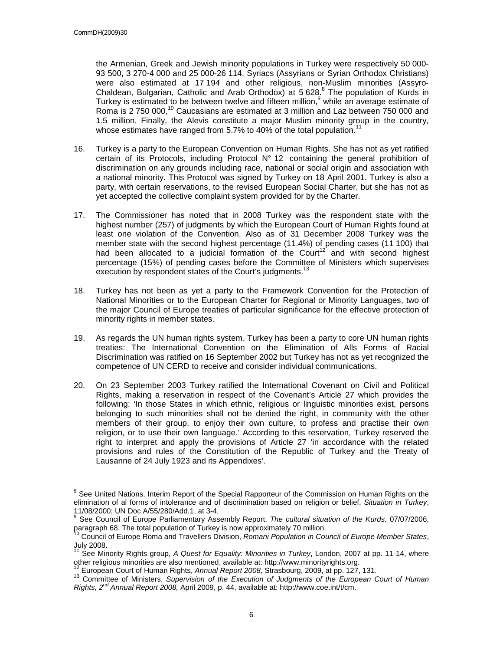$\overline{a}$ 

the Armenian, Greek and Jewish minority populations in Turkey were respectively 50 000- 93 500, 3 270-4 000 and 25 000-26 114. Syriacs (Assyrians or Syrian Orthodox Christians) were also estimated at 17 194 and other religious, non-Muslim minorities (Assyro-Chaldean, Bulgarian, Catholic and Arab Orthodox) at 5 628. $8$  The population of Kurds in Turkey is estimated to be between twelve and fifteen million,<sup>9</sup> while an average estimate of Roma is 2 750 000, $^{10}$  Caucasians are estimated at 3 million and Laz between 750 000 and 1.5 million. Finally, the Alevis constitute a major Muslim minority group in the country, whose estimates have ranged from 5.7% to 40% of the total population.<sup>1</sup>

- 16. Turkey is a party to the European Convention on Human Rights. She has not as yet ratified certain of its Protocols, including Protocol N° 12 containing the general prohibition of discrimination on any grounds including race, national or social origin and association with a national minority. This Protocol was signed by Turkey on 18 April 2001. Turkey is also a party, with certain reservations, to the revised European Social Charter, but she has not as yet accepted the collective complaint system provided for by the Charter.
- 17. The Commissioner has noted that in 2008 Turkey was the respondent state with the highest number (257) of judgments by which the European Court of Human Rights found at least one violation of the Convention. Also as of 31 December 2008 Turkey was the member state with the second highest percentage (11.4%) of pending cases (11 100) that had been allocated to a judicial formation of the Court<sup>12</sup> and with second highest percentage (15%) of pending cases before the Committee of Ministers which supervises execution by respondent states of the Court's judgments.<sup>13</sup>
- 18. Turkey has not been as yet a party to the Framework Convention for the Protection of National Minorities or to the European Charter for Regional or Minority Languages, two of the major Council of Europe treaties of particular significance for the effective protection of minority rights in member states.
- 19. As regards the UN human rights system, Turkey has been a party to core UN human rights treaties: The International Convention on the Elimination of Alls Forms of Racial Discrimination was ratified on 16 September 2002 but Turkey has not as yet recognized the competence of UN CERD to receive and consider individual communications.
- 20. On 23 September 2003 Turkey ratified the International Covenant on Civil and Political Rights, making a reservation in respect of the Covenant's Article 27 which provides the following: 'In those States in which ethnic, religious or linguistic minorities exist, persons belonging to such minorities shall not be denied the right, in community with the other members of their group, to enjoy their own culture, to profess and practise their own religion, or to use their own language.' According to this reservation, Turkey reserved the right to interpret and apply the provisions of Article 27 'in accordance with the related provisions and rules of the Constitution of the Republic of Turkey and the Treaty of Lausanne of 24 July 1923 and its Appendixes'.

<sup>&</sup>lt;sup>8</sup> See United Nations, Interim Report of the Special Rapporteur of the Commission on Human Rights on the elimination of al forms of intolerance and of discrimination based on religion or belief, Situation in Turkey, 11/08/2000; UN Doc A/55/280/Add.1, at 3-4.

<sup>&</sup>lt;sup>9</sup> See Council of Europe Parliamentary Assembly Report, The cultural situation of the Kurds, 07/07/2006, paragraph 68. The total population of Turkey is now approximately 70 million.

<sup>&</sup>lt;sup>10</sup> Council of Europe Roma and Travellers Division, Romani Population in Council of Europe Member States, July 2008.

<sup>&</sup>lt;sup>11</sup> See Minority Rights group, A Quest for Equality: Minorities in Turkey, London, 2007 at pp. 11-14, where other religious minorities are also mentioned, available at: http://www.minorityrights.org.

<sup>&</sup>lt;sup>2</sup> European Court of Human Rights, Annual Report 2008, Strasbourg, 2009, at pp. 127, 131.

<sup>&</sup>lt;sup>13</sup> Committee of Ministers, Supervision of the Execution of Judgments of the European Court of Human Rights,  $2^{nd}$  Annual Report 2008, April 2009, p. 44, available at: http://www.coe.int/t/cm.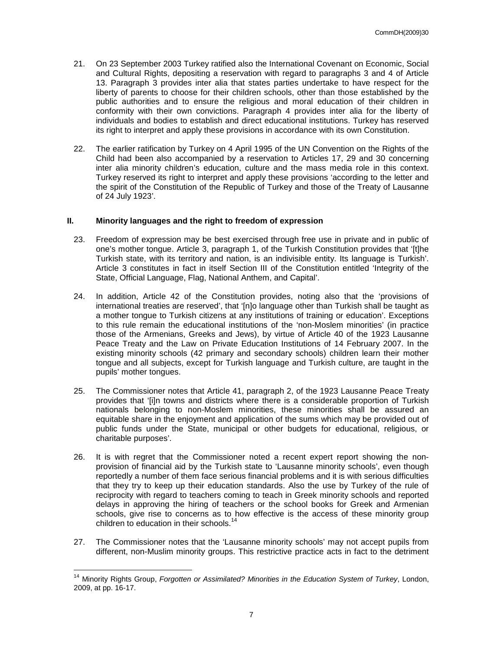- 21. On 23 September 2003 Turkey ratified also the International Covenant on Economic, Social and Cultural Rights, depositing a reservation with regard to paragraphs 3 and 4 of Article 13. Paragraph 3 provides inter alia that states parties undertake to have respect for the liberty of parents to choose for their children schools, other than those established by the public authorities and to ensure the religious and moral education of their children in conformity with their own convictions. Paragraph 4 provides inter alia for the liberty of individuals and bodies to establish and direct educational institutions. Turkey has reserved its right to interpret and apply these provisions in accordance with its own Constitution.
- 22. The earlier ratification by Turkey on 4 April 1995 of the UN Convention on the Rights of the Child had been also accompanied by a reservation to Articles 17, 29 and 30 concerning inter alia minority children's education, culture and the mass media role in this context. Turkey reserved its right to interpret and apply these provisions 'according to the letter and the spirit of the Constitution of the Republic of Turkey and those of the Treaty of Lausanne of 24 July 1923'.

#### **II. Minority languages and the right to freedom of expression**

- 23. Freedom of expression may be best exercised through free use in private and in public of one's mother tongue. Article 3, paragraph 1, of the Turkish Constitution provides that '[t]he Turkish state, with its territory and nation, is an indivisible entity. Its language is Turkish'. Article 3 constitutes in fact in itself Section III of the Constitution entitled 'Integrity of the State, Official Language, Flag, National Anthem, and Capital'.
- 24. In addition, Article 42 of the Constitution provides, noting also that the 'provisions of international treaties are reserved', that '[n]o language other than Turkish shall be taught as a mother tongue to Turkish citizens at any institutions of training or education'. Exceptions to this rule remain the educational institutions of the 'non-Moslem minorities' (in practice those of the Armenians, Greeks and Jews), by virtue of Article 40 of the 1923 Lausanne Peace Treaty and the Law on Private Education Institutions of 14 February 2007. In the existing minority schools (42 primary and secondary schools) children learn their mother tongue and all subjects, except for Turkish language and Turkish culture, are taught in the pupils' mother tongues.
- 25. The Commissioner notes that Article 41, paragraph 2, of the 1923 Lausanne Peace Treaty provides that '[i]n towns and districts where there is a considerable proportion of Turkish nationals belonging to non-Moslem minorities, these minorities shall be assured an equitable share in the enjoyment and application of the sums which may be provided out of public funds under the State, municipal or other budgets for educational, religious, or charitable purposes'.
- 26. It is with regret that the Commissioner noted a recent expert report showing the nonprovision of financial aid by the Turkish state to 'Lausanne minority schools', even though reportedly a number of them face serious financial problems and it is with serious difficulties that they try to keep up their education standards. Also the use by Turkey of the rule of reciprocity with regard to teachers coming to teach in Greek minority schools and reported delays in approving the hiring of teachers or the school books for Greek and Armenian schools, give rise to concerns as to how effective is the access of these minority group children to education in their schools.<sup>14</sup>
- 27. The Commissioner notes that the 'Lausanne minority schools' may not accept pupils from different, non-Muslim minority groups. This restrictive practice acts in fact to the detriment

 $\overline{\phantom{a}}$ 

<sup>&</sup>lt;sup>14</sup> Minority Rights Group, Forgotten or Assimilated? Minorities in the Education System of Turkey, London, 2009, at pp. 16-17.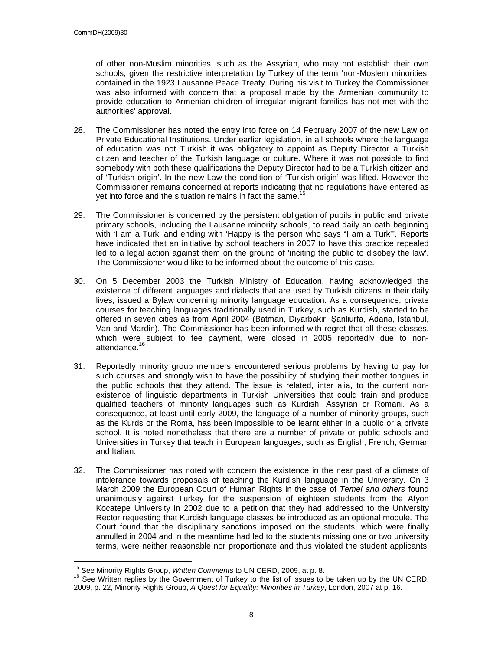of other non-Muslim minorities, such as the Assyrian, who may not establish their own schools, given the restrictive interpretation by Turkey of the term 'non-Moslem minorities' contained in the 1923 Lausanne Peace Treaty. During his visit to Turkey the Commissioner was also informed with concern that a proposal made by the Armenian community to provide education to Armenian children of irregular migrant families has not met with the authorities' approval.

- 28. The Commissioner has noted the entry into force on 14 February 2007 of the new Law on Private Educational Institutions. Under earlier legislation, in all schools where the language of education was not Turkish it was obligatory to appoint as Deputy Director a Turkish citizen and teacher of the Turkish language or culture. Where it was not possible to find somebody with both these qualifications the Deputy Director had to be a Turkish citizen and of 'Turkish origin'. In the new Law the condition of 'Turkish origin' was lifted. However the Commissioner remains concerned at reports indicating that no regulations have entered as vet into force and the situation remains in fact the same.<sup>1</sup>
- 29. The Commissioner is concerned by the persistent obligation of pupils in public and private primary schools, including the Lausanne minority schools, to read daily an oath beginning with 'I am a Turk' and ending with 'Happy is the person who says "I am a Turk"'. Reports have indicated that an initiative by school teachers in 2007 to have this practice repealed led to a legal action against them on the ground of 'inciting the public to disobey the law'. The Commissioner would like to be informed about the outcome of this case.
- 30. On 5 December 2003 the Turkish Ministry of Education, having acknowledged the existence of different languages and dialects that are used by Turkish citizens in their daily lives, issued a Bylaw concerning minority language education. As a consequence, private courses for teaching languages traditionally used in Turkey, such as Kurdish, started to be offered in seven cities as from April 2004 (Batman, Diyarbakir, Şanliurfa, Adana, Istanbul, Van and Mardin). The Commissioner has been informed with regret that all these classes, which were subject to fee payment, were closed in 2005 reportedly due to nonattendance.<sup>16</sup>
- 31. Reportedly minority group members encountered serious problems by having to pay for such courses and strongly wish to have the possibility of studying their mother tongues in the public schools that they attend. The issue is related, inter alia, to the current nonexistence of linguistic departments in Turkish Universities that could train and produce qualified teachers of minority languages such as Kurdish, Assyrian or Romani. As a consequence, at least until early 2009, the language of a number of minority groups, such as the Kurds or the Roma, has been impossible to be learnt either in a public or a private school. It is noted nonetheless that there are a number of private or public schools and Universities in Turkey that teach in European languages, such as English, French, German and Italian.
- 32. The Commissioner has noted with concern the existence in the near past of a climate of intolerance towards proposals of teaching the Kurdish language in the University. On 3 March 2009 the European Court of Human Rights in the case of Temel and others found unanimously against Turkey for the suspension of eighteen students from the Afyon Kocatepe University in 2002 due to a petition that they had addressed to the University Rector requesting that Kurdish language classes be introduced as an optional module. The Court found that the disciplinary sanctions imposed on the students, which were finally annulled in 2004 and in the meantime had led to the students missing one or two university terms, were neither reasonable nor proportionate and thus violated the student applicants'

 $\overline{\phantom{a}}$ <sup>15</sup> See Minority Rights Group, Written Comments to UN CERD, 2009, at p. 8.

<sup>&</sup>lt;sup>16</sup> See Written replies by the Government of Turkey to the list of issues to be taken up by the UN CERD, 2009, p. 22, Minority Rights Group, A Quest for Equality: Minorities in Turkey, London, 2007 at p. 16.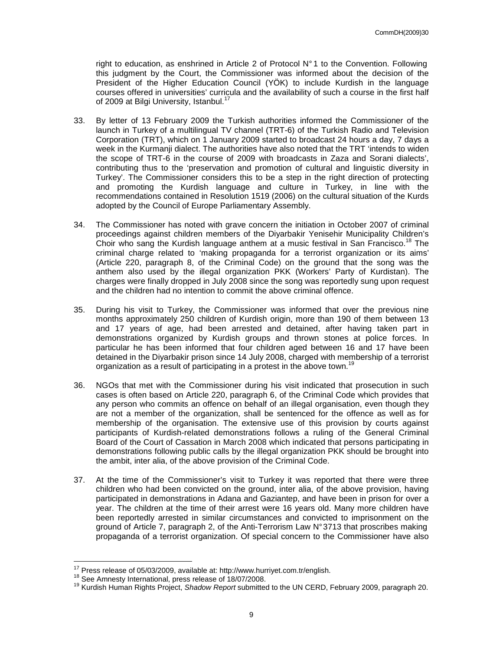right to education, as enshrined in Article 2 of Protocol N° 1 to the Convention. Following this judgment by the Court, the Commissioner was informed about the decision of the President of the Higher Education Council (YÖK) to include Kurdish in the language courses offered in universities' curricula and the availability of such a course in the first half of 2009 at Bilgi University, Istanbul.<sup>17</sup>

- 33. By letter of 13 February 2009 the Turkish authorities informed the Commissioner of the launch in Turkey of a multilingual TV channel (TRT-6) of the Turkish Radio and Television Corporation (TRT), which on 1 January 2009 started to broadcast 24 hours a day, 7 days a week in the Kurmanji dialect. The authorities have also noted that the TRT 'intends to widen the scope of TRT-6 in the course of 2009 with broadcasts in Zaza and Sorani dialects', contributing thus to the 'preservation and promotion of cultural and linguistic diversity in Turkey'. The Commissioner considers this to be a step in the right direction of protecting and promoting the Kurdish language and culture in Turkey, in line with the recommendations contained in Resolution 1519 (2006) on the cultural situation of the Kurds adopted by the Council of Europe Parliamentary Assembly.
- 34. The Commissioner has noted with grave concern the initiation in October 2007 of criminal proceedings against children members of the Diyarbakir Yenisehir Municipality Children's Choir who sang the Kurdish language anthem at a music festival in San Francisco.<sup>18</sup> The criminal charge related to 'making propaganda for a terrorist organization or its aims' (Article 220, paragraph 8, of the Criminal Code) on the ground that the song was the anthem also used by the illegal organization PKK (Workers' Party of Kurdistan). The charges were finally dropped in July 2008 since the song was reportedly sung upon request and the children had no intention to commit the above criminal offence.
- 35. During his visit to Turkey, the Commissioner was informed that over the previous nine months approximately 250 children of Kurdish origin, more than 190 of them between 13 and 17 years of age, had been arrested and detained, after having taken part in demonstrations organized by Kurdish groups and thrown stones at police forces. In particular he has been informed that four children aged between 16 and 17 have been detained in the Diyarbakir prison since 14 July 2008, charged with membership of a terrorist organization as a result of participating in a protest in the above town.<sup>19</sup>
- 36. NGOs that met with the Commissioner during his visit indicated that prosecution in such cases is often based on Article 220, paragraph 6, of the Criminal Code which provides that any person who commits an offence on behalf of an illegal organisation, even though they are not a member of the organization, shall be sentenced for the offence as well as for membership of the organisation. The extensive use of this provision by courts against participants of Kurdish-related demonstrations follows a ruling of the General Criminal Board of the Court of Cassation in March 2008 which indicated that persons participating in demonstrations following public calls by the illegal organization PKK should be brought into the ambit, inter alia, of the above provision of the Criminal Code.
- 37. At the time of the Commissioner's visit to Turkey it was reported that there were three children who had been convicted on the ground, inter alia, of the above provision, having participated in demonstrations in Adana and Gaziantep, and have been in prison for over a year. The children at the time of their arrest were 16 years old. Many more children have been reportedly arrested in similar circumstances and convicted to imprisonment on the ground of Article 7, paragraph 2, of the Anti-Terrorism Law N° 3713 that proscribes making propaganda of a terrorist organization. Of special concern to the Commissioner have also

 $\overline{\phantom{a}}$ 

 $17$  Press release of 05/03/2009, available at: http://www.hurriyet.com.tr/english.

<sup>18</sup> See Amnesty International, press release of 18/07/2008.

<sup>&</sup>lt;sup>19</sup> Kurdish Human Rights Project, Shadow Report submitted to the UN CERD, February 2009, paragraph 20.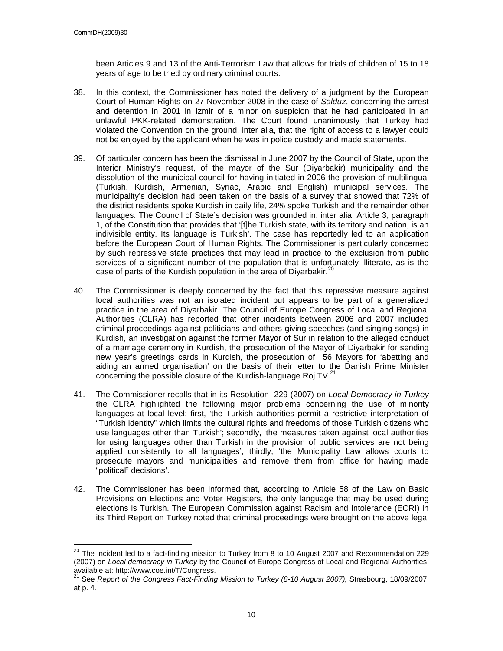been Articles 9 and 13 of the Anti-Terrorism Law that allows for trials of children of 15 to 18 years of age to be tried by ordinary criminal courts.

- 38. In this context, the Commissioner has noted the delivery of a judgment by the European Court of Human Rights on 27 November 2008 in the case of Salduz, concerning the arrest and detention in 2001 in Izmir of a minor on suspicion that he had participated in an unlawful PKK-related demonstration. The Court found unanimously that Turkey had violated the Convention on the ground, inter alia, that the right of access to a lawyer could not be enjoyed by the applicant when he was in police custody and made statements.
- 39. Of particular concern has been the dismissal in June 2007 by the Council of State, upon the Interior Ministry's request, of the mayor of the Sur (Diyarbakir) municipality and the dissolution of the municipal council for having initiated in 2006 the provision of multilingual (Turkish, Kurdish, Armenian, Syriac, Arabic and English) municipal services. The municipality's decision had been taken on the basis of a survey that showed that 72% of the district residents spoke Kurdish in daily life, 24% spoke Turkish and the remainder other languages. The Council of State's decision was grounded in, inter alia, Article 3, paragraph 1, of the Constitution that provides that '[t]he Turkish state, with its territory and nation, is an indivisible entity. Its language is Turkish'. The case has reportedly led to an application before the European Court of Human Rights. The Commissioner is particularly concerned by such repressive state practices that may lead in practice to the exclusion from public services of a significant number of the population that is unfortunately illiterate, as is the case of parts of the Kurdish population in the area of Diyarbakir.<sup>20</sup>
- 40. The Commissioner is deeply concerned by the fact that this repressive measure against local authorities was not an isolated incident but appears to be part of a generalized practice in the area of Diyarbakir. The Council of Europe Congress of Local and Regional Authorities (CLRA) has reported that other incidents between 2006 and 2007 included criminal proceedings against politicians and others giving speeches (and singing songs) in Kurdish, an investigation against the former Mayor of Sur in relation to the alleged conduct of a marriage ceremony in Kurdish, the prosecution of the Mayor of Diyarbakir for sending new year's greetings cards in Kurdish, the prosecution of 56 Mayors for 'abetting and aiding an armed organisation' on the basis of their letter to the Danish Prime Minister concerning the possible closure of the Kurdish-language Roj TV.<sup>21</sup>
- 41. The Commissioner recalls that in its Resolution 229 (2007) on Local Democracy in Turkey the CLRA highlighted the following major problems concerning the use of minority languages at local level: first, 'the Turkish authorities permit a restrictive interpretation of "Turkish identity" which limits the cultural rights and freedoms of those Turkish citizens who use languages other than Turkish'; secondly, 'the measures taken against local authorities for using languages other than Turkish in the provision of public services are not being applied consistently to all languages'; thirdly, 'the Municipality Law allows courts to prosecute mayors and municipalities and remove them from office for having made "political" decisions'.
- 42. The Commissioner has been informed that, according to Article 58 of the Law on Basic Provisions on Elections and Voter Registers, the only language that may be used during elections is Turkish. The European Commission against Racism and Intolerance (ECRI) in its Third Report on Turkey noted that criminal proceedings were brought on the above legal

 $\overline{\phantom{a}}$  $^{20}$  The incident led to a fact-finding mission to Turkey from 8 to 10 August 2007 and Recommendation 229 (2007) on Local democracy in Turkey by the Council of Europe Congress of Local and Regional Authorities, available at: http://www.coe.int/T/Congress.

<sup>21</sup> See Report of the Congress Fact-Finding Mission to Turkey (8-10 August 2007), Strasbourg, 18/09/2007, at p. 4.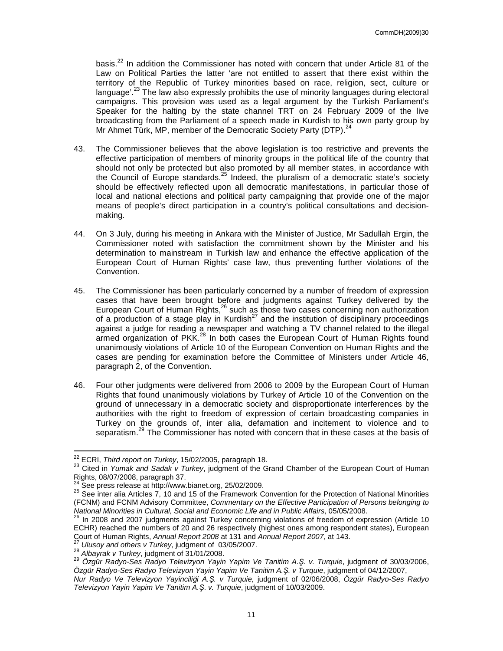basis.<sup>22</sup> In addition the Commissioner has noted with concern that under Article 81 of the Law on Political Parties the latter 'are not entitled to assert that there exist within the territory of the Republic of Turkey minorities based on race, religion, sect, culture or language<sup>'.23</sup> The law also expressly prohibits the use of minority languages during electoral campaigns. This provision was used as a legal argument by the Turkish Parliament's Speaker for the halting by the state channel TRT on 24 February 2009 of the live broadcasting from the Parliament of a speech made in Kurdish to his own party group by Mr Ahmet Türk, MP, member of the Democratic Society Party (DTP).<sup>24</sup>

- 43. The Commissioner believes that the above legislation is too restrictive and prevents the effective participation of members of minority groups in the political life of the country that should not only be protected but also promoted by all member states, in accordance with the Council of Europe standards.<sup>25</sup> Indeed, the pluralism of a democratic state's society should be effectively reflected upon all democratic manifestations, in particular those of local and national elections and political party campaigning that provide one of the major means of people's direct participation in a country's political consultations and decisionmaking.
- 44. On 3 July, during his meeting in Ankara with the Minister of Justice, Mr Sadullah Ergin, the Commissioner noted with satisfaction the commitment shown by the Minister and his determination to mainstream in Turkish law and enhance the effective application of the European Court of Human Rights' case law, thus preventing further violations of the Convention.
- 45. The Commissioner has been particularly concerned by a number of freedom of expression cases that have been brought before and judgments against Turkey delivered by the European Court of Human Rights, $26$  such as those two cases concerning non authorization of a production of a stage play in Kurdish<sup>27</sup> and the institution of disciplinary proceedings against a judge for reading a newspaper and watching a TV channel related to the illegal armed organization of PKK.<sup>28</sup> In both cases the European Court of Human Rights found unanimously violations of Article 10 of the European Convention on Human Rights and the cases are pending for examination before the Committee of Ministers under Article 46, paragraph 2, of the Convention.
- 46. Four other judgments were delivered from 2006 to 2009 by the European Court of Human Rights that found unanimously violations by Turkey of Article 10 of the Convention on the ground of unnecessary in a democratic society and disproportionate interferences by the authorities with the right to freedom of expression of certain broadcasting companies in Turkey on the grounds of, inter alia, defamation and incitement to violence and to separatism.<sup>29</sup> The Commissioner has noted with concern that in these cases at the basis of

 $\overline{\phantom{a}}$ 

 $^{22}$  ECRI, Third report on Turkey, 15/02/2005, paragraph 18.

<sup>&</sup>lt;sup>23</sup> Cited in Yumak and Sadak v Turkey, judgment of the Grand Chamber of the European Court of Human Rights, 08/07/2008, paragraph 37.

<sup>24</sup> See press release at http://www.bianet.org, 25/02/2009.

<sup>&</sup>lt;sup>25</sup> See inter alia Articles 7, 10 and 15 of the Framework Convention for the Protection of National Minorities (FCNM) and FCNM Advisory Committee, Commentary on the Effective Participation of Persons belonging to National Minorities in Cultural, Social and Economic Life and in Public Affairs, 05/05/2008.

 $^{26}$  In 2008 and 2007 judgments against Turkey concerning violations of freedom of expression (Article 10 ECHR) reached the numbers of 20 and 26 respectively (highest ones among respondent states), European Court of Human Rights, Annual Report 2008 at 131 and Annual Report 2007, at 143.

Ulusoy and others v Turkey, judgment of  $03/05/2007$ .

 $^{28}$  Albayrak v Turkey, judgment of 31/01/2008.

<sup>&</sup>lt;sup>29</sup> Özgür Radyo-Ses Radyo Televizyon Yayin Yapim Ve Tanitim A.Ş. v. Turquie, judgment of 30/03/2006, Özgür Radyo-Ses Radyo Televizyon Yayin Yapim Ve Tanitim A.Ş. v Turquie, judgment of 04/12/2007,

Nur Radyo Ve Televizyon Yayinciliği A.Ş. v Turquie, judgment of 02/06/2008, Özgür Radyo-Ses Radyo Televizyon Yayin Yapim Ve Tanitim A.Ş. v. Turquie, judgment of 10/03/2009.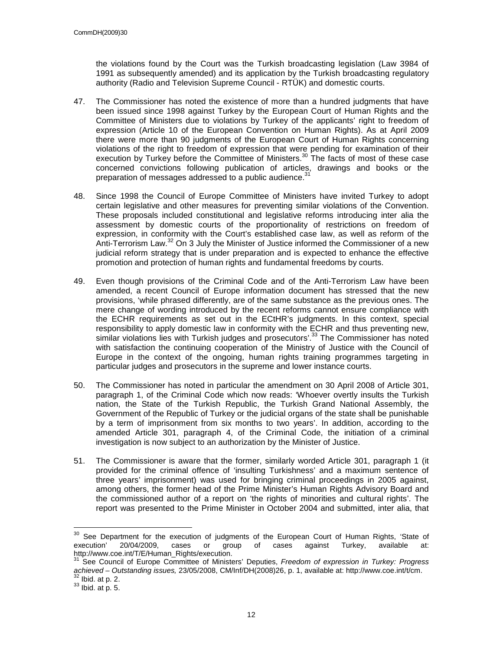the violations found by the Court was the Turkish broadcasting legislation (Law 3984 of 1991 as subsequently amended) and its application by the Turkish broadcasting regulatory authority (Radio and Television Supreme Council - RTÜK) and domestic courts.

- 47. The Commissioner has noted the existence of more than a hundred judgments that have been issued since 1998 against Turkey by the European Court of Human Rights and the Committee of Ministers due to violations by Turkey of the applicants' right to freedom of expression (Article 10 of the European Convention on Human Rights). As at April 2009 there were more than 90 judgments of the European Court of Human Rights concerning violations of the right to freedom of expression that were pending for examination of their execution by Turkey before the Committee of Ministers.<sup>30</sup> The facts of most of these case concerned convictions following publication of articles, drawings and books or the preparation of messages addressed to a public audience.  $31$
- 48. Since 1998 the Council of Europe Committee of Ministers have invited Turkey to adopt certain legislative and other measures for preventing similar violations of the Convention. These proposals included constitutional and legislative reforms introducing inter alia the assessment by domestic courts of the proportionality of restrictions on freedom of expression, in conformity with the Court's established case law, as well as reform of the Anti-Terrorism Law.<sup>32</sup> On 3 July the Minister of Justice informed the Commissioner of a new judicial reform strategy that is under preparation and is expected to enhance the effective promotion and protection of human rights and fundamental freedoms by courts.
- 49. Even though provisions of the Criminal Code and of the Anti-Terrorism Law have been amended, a recent Council of Europe information document has stressed that the new provisions, 'while phrased differently, are of the same substance as the previous ones. The mere change of wording introduced by the recent reforms cannot ensure compliance with the ECHR requirements as set out in the ECtHR's judgments. In this context, special responsibility to apply domestic law in conformity with the ECHR and thus preventing new, similar violations lies with Turkish judges and prosecutors'.<sup>33</sup> The Commissioner has noted with satisfaction the continuing cooperation of the Ministry of Justice with the Council of Europe in the context of the ongoing, human rights training programmes targeting in particular judges and prosecutors in the supreme and lower instance courts.
- 50. The Commissioner has noted in particular the amendment on 30 April 2008 of Article 301, paragraph 1, of the Criminal Code which now reads: 'Whoever overtly insults the Turkish nation, the State of the Turkish Republic, the Turkish Grand National Assembly, the Government of the Republic of Turkey or the judicial organs of the state shall be punishable by a term of imprisonment from six months to two years'. In addition, according to the amended Article 301, paragraph 4, of the Criminal Code, the initiation of a criminal investigation is now subject to an authorization by the Minister of Justice.
- 51. The Commissioner is aware that the former, similarly worded Article 301, paragraph 1 (it provided for the criminal offence of 'insulting Turkishness' and a maximum sentence of three years' imprisonment) was used for bringing criminal proceedings in 2005 against, among others, the former head of the Prime Minister's Human Rights Advisory Board and the commissioned author of a report on 'the rights of minorities and cultural rights'. The report was presented to the Prime Minister in October 2004 and submitted, inter alia, that

 $\overline{a}$ 

See Department for the execution of judgments of the European Court of Human Rights, 'State of execution' 20/04/2009, cases or group of cases against Turkey, available at: http://www.coe.int/T/E/Human\_Rights/execution.

<sup>&</sup>lt;sup>31</sup> See Council of Europe Committee of Ministers' Deputies, Freedom of expression in Turkey: Progress achieved – Outstanding issues, 23/05/2008, CM/Inf/DH(2008)26, p. 1, available at: http://www.coe.int/t/cm.  $<sup>2</sup>$  Ibid. at p. 2.</sup>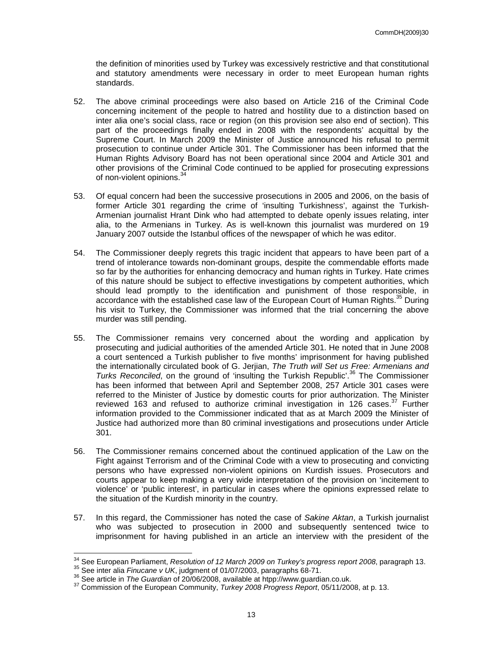the definition of minorities used by Turkey was excessively restrictive and that constitutional and statutory amendments were necessary in order to meet European human rights standards.

- 52. The above criminal proceedings were also based on Article 216 of the Criminal Code concerning incitement of the people to hatred and hostility due to a distinction based on inter alia one's social class, race or region (on this provision see also end of section). This part of the proceedings finally ended in 2008 with the respondents' acquittal by the Supreme Court. In March 2009 the Minister of Justice announced his refusal to permit prosecution to continue under Article 301. The Commissioner has been informed that the Human Rights Advisory Board has not been operational since 2004 and Article 301 and other provisions of the Criminal Code continued to be applied for prosecuting expressions of non-violent opinions.<sup>34</sup>
- 53. Of equal concern had been the successive prosecutions in 2005 and 2006, on the basis of former Article 301 regarding the crime of 'insulting Turkishness', against the Turkish-Armenian journalist Hrant Dink who had attempted to debate openly issues relating, inter alia, to the Armenians in Turkey. As is well-known this journalist was murdered on 19 January 2007 outside the Istanbul offices of the newspaper of which he was editor.
- 54. The Commissioner deeply regrets this tragic incident that appears to have been part of a trend of intolerance towards non-dominant groups, despite the commendable efforts made so far by the authorities for enhancing democracy and human rights in Turkey. Hate crimes of this nature should be subject to effective investigations by competent authorities, which should lead promptly to the identification and punishment of those responsible, in accordance with the established case law of the European Court of Human Rights.<sup>35</sup> During his visit to Turkey, the Commissioner was informed that the trial concerning the above murder was still pending.
- 55. The Commissioner remains very concerned about the wording and application by prosecuting and judicial authorities of the amended Article 301. He noted that in June 2008 a court sentenced a Turkish publisher to five months' imprisonment for having published the internationally circulated book of G. Jerjian, The Truth will Set us Free: Armenians and Turks Reconciled, on the ground of 'insulting the Turkish Republic'. <sup>36</sup> The Commissioner has been informed that between April and September 2008, 257 Article 301 cases were referred to the Minister of Justice by domestic courts for prior authorization. The Minister reviewed 163 and refused to authorize criminal investigation in 126 cases. $37$  Further information provided to the Commissioner indicated that as at March 2009 the Minister of Justice had authorized more than 80 criminal investigations and prosecutions under Article 301.
- 56. The Commissioner remains concerned about the continued application of the Law on the Fight against Terrorism and of the Criminal Code with a view to prosecuting and convicting persons who have expressed non-violent opinions on Kurdish issues. Prosecutors and courts appear to keep making a very wide interpretation of the provision on 'incitement to violence' or 'public interest', in particular in cases where the opinions expressed relate to the situation of the Kurdish minority in the country.
- 57. In this regard, the Commissioner has noted the case of Sakine Aktan, a Turkish journalist who was subjected to prosecution in 2000 and subsequently sentenced twice to imprisonment for having published in an article an interview with the president of the

 $\overline{a}$ 

 $34$  See European Parliament, Resolution of 12 March 2009 on Turkey's progress report 2008, paragraph 13.

<sup>&</sup>lt;sup>35</sup> See inter alia Finucane v UK, judgment of 01/07/2003, paragraphs 68-71.

<sup>36</sup> See article in The Guardian of 20/06/2008, available at htpp://www.guardian.co.uk.

<sup>&</sup>lt;sup>37</sup> Commission of the European Community, Turkey 2008 Progress Report, 05/11/2008, at p. 13.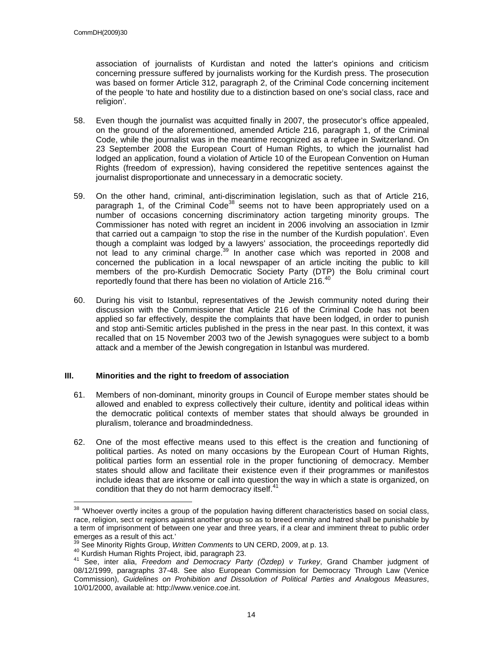association of journalists of Kurdistan and noted the latter's opinions and criticism concerning pressure suffered by journalists working for the Kurdish press. The prosecution was based on former Article 312, paragraph 2, of the Criminal Code concerning incitement of the people 'to hate and hostility due to a distinction based on one's social class, race and religion'.

- 58. Even though the journalist was acquitted finally in 2007, the prosecutor's office appealed, on the ground of the aforementioned, amended Article 216, paragraph 1, of the Criminal Code, while the journalist was in the meantime recognized as a refugee in Switzerland. On 23 September 2008 the European Court of Human Rights, to which the journalist had lodged an application, found a violation of Article 10 of the European Convention on Human Rights (freedom of expression), having considered the repetitive sentences against the journalist disproportionate and unnecessary in a democratic society.
- 59. On the other hand, criminal, anti-discrimination legislation, such as that of Article 216, paragraph 1, of the Criminal Code<sup>38</sup> seems not to have been appropriately used on a number of occasions concerning discriminatory action targeting minority groups. The Commissioner has noted with regret an incident in 2006 involving an association in Izmir that carried out a campaign 'to stop the rise in the number of the Kurdish population'. Even though a complaint was lodged by a lawyers' association, the proceedings reportedly did not lead to any criminal charge.<sup>39</sup> In another case which was reported in 2008 and concerned the publication in a local newspaper of an article inciting the public to kill members of the pro-Kurdish Democratic Society Party (DTP) the Bolu criminal court reportedly found that there has been no violation of Article 216.<sup>40</sup>
- 60. During his visit to Istanbul, representatives of the Jewish community noted during their discussion with the Commissioner that Article 216 of the Criminal Code has not been applied so far effectively, despite the complaints that have been lodged, in order to punish and stop anti-Semitic articles published in the press in the near past. In this context, it was recalled that on 15 November 2003 two of the Jewish synagogues were subject to a bomb attack and a member of the Jewish congregation in Istanbul was murdered.

## **III. Minorities and the right to freedom of association**

- 61. Members of non-dominant, minority groups in Council of Europe member states should be allowed and enabled to express collectively their culture, identity and political ideas within the democratic political contexts of member states that should always be grounded in pluralism, tolerance and broadmindedness.
- 62. One of the most effective means used to this effect is the creation and functioning of political parties. As noted on many occasions by the European Court of Human Rights, political parties form an essential role in the proper functioning of democracy. Member states should allow and facilitate their existence even if their programmes or manifestos include ideas that are irksome or call into question the way in which a state is organized, on condition that they do not harm democracy itself.<sup>41</sup>

 $\overline{\phantom{a}}$ 

 $38$  'Whoever overtly incites a group of the population having different characteristics based on social class, race, religion, sect or regions against another group so as to breed enmity and hatred shall be punishable by a term of imprisonment of between one year and three years, if a clear and imminent threat to public order emerges as a result of this act.'

See Minority Rights Group, Written Comments to UN CERD, 2009. at p. 13.

<sup>40</sup> Kurdish Human Rights Project, ibid, paragraph 23.

<sup>41</sup> See, inter alia, Freedom and Democracy Party (Özdep) v Turkey, Grand Chamber judgment of 08/12/1999, paragraphs 37-48. See also European Commission for Democracy Through Law (Venice Commission), Guidelines on Prohibition and Dissolution of Political Parties and Analogous Measures, 10/01/2000, available at: http://www.venice.coe.int.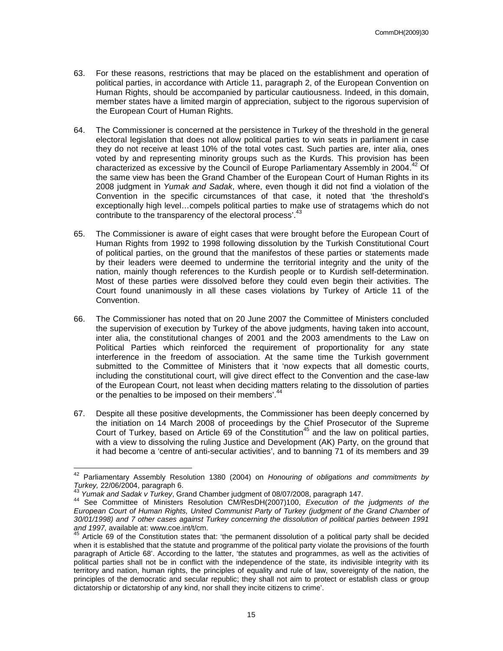- 63. For these reasons, restrictions that may be placed on the establishment and operation of political parties, in accordance with Article 11, paragraph 2, of the European Convention on Human Rights, should be accompanied by particular cautiousness. Indeed, in this domain, member states have a limited margin of appreciation, subject to the rigorous supervision of the European Court of Human Rights.
- 64. The Commissioner is concerned at the persistence in Turkey of the threshold in the general electoral legislation that does not allow political parties to win seats in parliament in case they do not receive at least 10% of the total votes cast. Such parties are, inter alia, ones voted by and representing minority groups such as the Kurds. This provision has been characterized as excessive by the Council of Europe Parliamentary Assembly in 2004.<sup>42</sup> Of the same view has been the Grand Chamber of the European Court of Human Rights in its 2008 judgment in Yumak and Sadak, where, even though it did not find a violation of the Convention in the specific circumstances of that case, it noted that 'the threshold's exceptionally high level…compels political parties to make use of stratagems which do not contribute to the transparency of the electoral process'.<sup>43</sup>
- 65. The Commissioner is aware of eight cases that were brought before the European Court of Human Rights from 1992 to 1998 following dissolution by the Turkish Constitutional Court of political parties, on the ground that the manifestos of these parties or statements made by their leaders were deemed to undermine the territorial integrity and the unity of the nation, mainly though references to the Kurdish people or to Kurdish self-determination. Most of these parties were dissolved before they could even begin their activities. The Court found unanimously in all these cases violations by Turkey of Article 11 of the Convention.
- 66. The Commissioner has noted that on 20 June 2007 the Committee of Ministers concluded the supervision of execution by Turkey of the above judgments, having taken into account, inter alia, the constitutional changes of 2001 and the 2003 amendments to the Law on Political Parties which reinforced the requirement of proportionality for any state interference in the freedom of association. At the same time the Turkish government submitted to the Committee of Ministers that it 'now expects that all domestic courts, including the constitutional court, will give direct effect to the Convention and the case-law of the European Court, not least when deciding matters relating to the dissolution of parties or the penalties to be imposed on their members'.<sup>44</sup>
- 67. Despite all these positive developments, the Commissioner has been deeply concerned by the initiation on 14 March 2008 of proceedings by the Chief Prosecutor of the Supreme Court of Turkey, based on Article 69 of the Constitution<sup>45</sup> and the law on political parties, with a view to dissolving the ruling Justice and Development (AK) Party, on the ground that it had become a 'centre of anti-secular activities', and to banning 71 of its members and 39

 $\overline{a}$ 

 $42$  Parliamentary Assembly Resolution 1380 (2004) on Honouring of obligations and commitments by Turkey, 22/06/2004, paragraph 6.

Yumak and Sadak v Turkey, Grand Chamber judgment of 08/07/2008, paragraph 147.

<sup>44</sup> See Committee of Ministers Resolution CM/ResDH(2007)100, Execution of the judgments of the European Court of Human Rights, United Communist Party of Turkey (judgment of the Grand Chamber of 30/01/1998) and 7 other cases against Turkey concerning the dissolution of political parties between 1991 and 1997, available at: www.coe.int/t/cm.

Article 69 of the Constitution states that: 'the permanent dissolution of a political party shall be decided when it is established that the statute and programme of the political party violate the provisions of the fourth paragraph of Article 68'. According to the latter, 'the statutes and programmes, as well as the activities of political parties shall not be in conflict with the independence of the state, its indivisible integrity with its territory and nation, human rights, the principles of equality and rule of law, sovereignty of the nation, the principles of the democratic and secular republic; they shall not aim to protect or establish class or group dictatorship or dictatorship of any kind, nor shall they incite citizens to crime'.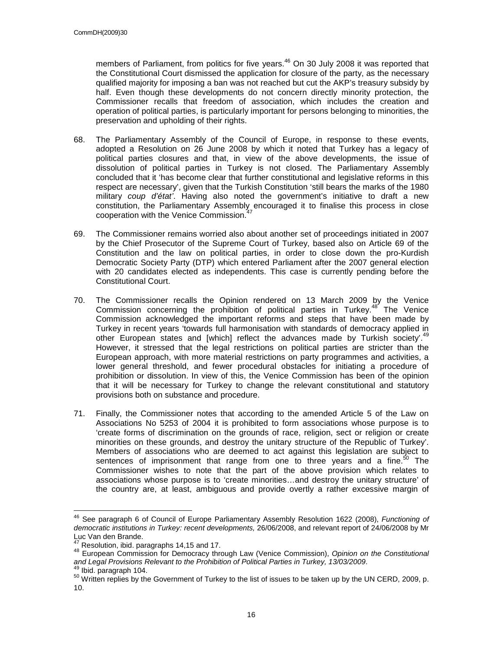members of Parliament, from politics for five years.<sup>46</sup> On 30 July 2008 it was reported that the Constitutional Court dismissed the application for closure of the party, as the necessary qualified majority for imposing a ban was not reached but cut the AKP's treasury subsidy by half. Even though these developments do not concern directly minority protection, the Commissioner recalls that freedom of association, which includes the creation and operation of political parties, is particularly important for persons belonging to minorities, the preservation and upholding of their rights.

- 68. The Parliamentary Assembly of the Council of Europe, in response to these events, adopted a Resolution on 26 June 2008 by which it noted that Turkey has a legacy of political parties closures and that, in view of the above developments, the issue of dissolution of political parties in Turkey is not closed. The Parliamentary Assembly concluded that it 'has become clear that further constitutional and legislative reforms in this respect are necessary', given that the Turkish Constitution 'still bears the marks of the 1980 military coup d'état'. Having also noted the government's initiative to draft a new constitution, the Parliamentary Assembly encouraged it to finalise this process in close cooperation with the Venice Commission.<sup>4</sup>
- 69. The Commissioner remains worried also about another set of proceedings initiated in 2007 by the Chief Prosecutor of the Supreme Court of Turkey, based also on Article 69 of the Constitution and the law on political parties, in order to close down the pro-Kurdish Democratic Society Party (DTP) which entered Parliament after the 2007 general election with 20 candidates elected as independents. This case is currently pending before the Constitutional Court.
- 70. The Commissioner recalls the Opinion rendered on 13 March 2009 by the Venice Commission concerning the prohibition of political parties in Turkey.<sup>48</sup> The Venice Commission acknowledged the important reforms and steps that have been made by Turkey in recent years 'towards full harmonisation with standards of democracy applied in other European states and [which] reflect the advances made by Turkish society'.<sup>49</sup> However, it stressed that the legal restrictions on political parties are stricter than the European approach, with more material restrictions on party programmes and activities, a lower general threshold, and fewer procedural obstacles for initiating a procedure of prohibition or dissolution. In view of this, the Venice Commission has been of the opinion that it will be necessary for Turkey to change the relevant constitutional and statutory provisions both on substance and procedure.
- 71. Finally, the Commissioner notes that according to the amended Article 5 of the Law on Associations No 5253 of 2004 it is prohibited to form associations whose purpose is to 'create forms of discrimination on the grounds of race, religion, sect or religion or create minorities on these grounds, and destroy the unitary structure of the Republic of Turkey'. Members of associations who are deemed to act against this legislation are subject to sentences of imprisonment that range from one to three years and a fine.<sup>50</sup> The Commissioner wishes to note that the part of the above provision which relates to associations whose purpose is to 'create minorities…and destroy the unitary structure' of the country are, at least, ambiguous and provide overtly a rather excessive margin of

 $\overline{a}$ <sup>46</sup> See paragraph 6 of Council of Europe Parliamentary Assembly Resolution 1622 (2008), Functioning of democratic institutions in Turkey: recent developments, 26/06/2008, and relevant report of 24/06/2008 by Mr Luc Van den Brande.

<sup>47</sup> Resolution, ibid. paragraphs 14,15 and 17.

<sup>48</sup> European Commission for Democracy through Law (Venice Commission), Opinion on the Constitutional and Legal Provisions Relevant to the Prohibition of Political Parties in Turkey, 13/03/2009.

<sup>&</sup>lt;sup>9</sup> Ibid. paragraph 104.

<sup>&</sup>lt;sup>50</sup> Written replies by the Government of Turkey to the list of issues to be taken up by the UN CERD, 2009, p. 10.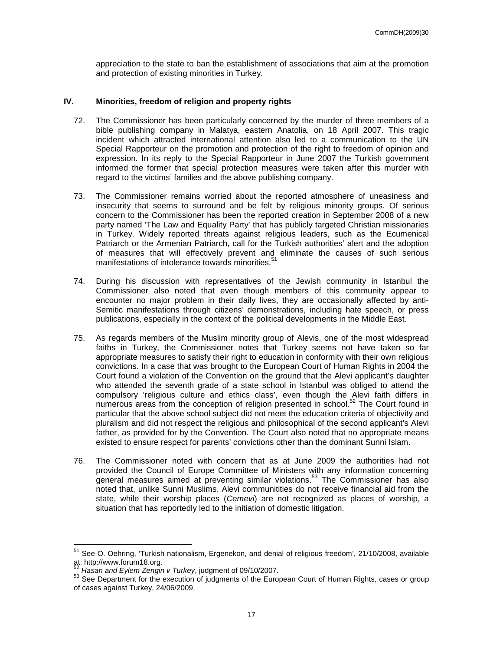appreciation to the state to ban the establishment of associations that aim at the promotion and protection of existing minorities in Turkey.

#### **IV. Minorities, freedom of religion and property rights**

- 72. The Commissioner has been particularly concerned by the murder of three members of a bible publishing company in Malatya, eastern Anatolia, on 18 April 2007. This tragic incident which attracted international attention also led to a communication to the UN Special Rapporteur on the promotion and protection of the right to freedom of opinion and expression. In its reply to the Special Rapporteur in June 2007 the Turkish government informed the former that special protection measures were taken after this murder with regard to the victims' families and the above publishing company.
- 73. The Commissioner remains worried about the reported atmosphere of uneasiness and insecurity that seems to surround and be felt by religious minority groups. Of serious concern to the Commissioner has been the reported creation in September 2008 of a new party named 'The Law and Equality Party' that has publicly targeted Christian missionaries in Turkey. Widely reported threats against religious leaders, such as the Ecumenical Patriarch or the Armenian Patriarch, call for the Turkish authorities' alert and the adoption of measures that will effectively prevent and eliminate the causes of such serious manifestations of intolerance towards minorities.<sup>51</sup>
- 74. During his discussion with representatives of the Jewish community in Istanbul the Commissioner also noted that even though members of this community appear to encounter no major problem in their daily lives, they are occasionally affected by anti-Semitic manifestations through citizens' demonstrations, including hate speech, or press publications, especially in the context of the political developments in the Middle East.
- 75. As regards members of the Muslim minority group of Alevis, one of the most widespread faiths in Turkey, the Commissioner notes that Turkey seems not have taken so far appropriate measures to satisfy their right to education in conformity with their own religious convictions. In a case that was brought to the European Court of Human Rights in 2004 the Court found a violation of the Convention on the ground that the Alevi applicant's daughter who attended the seventh grade of a state school in Istanbul was obliged to attend the compulsory 'religious culture and ethics class', even though the Alevi faith differs in numerous areas from the conception of religion presented in school.<sup>52</sup> The Court found in particular that the above school subject did not meet the education criteria of objectivity and pluralism and did not respect the religious and philosophical of the second applicant's Alevi father, as provided for by the Convention. The Court also noted that no appropriate means existed to ensure respect for parents' convictions other than the dominant Sunni Islam.
- 76. The Commissioner noted with concern that as at June 2009 the authorities had not provided the Council of Europe Committee of Ministers with any information concerning general measures aimed at preventing similar violations.<sup>53</sup> The Commissioner has also noted that, unlike Sunni Muslims, Alevi communitities do not receive financial aid from the state, while their worship places (Cemevi) are not recognized as places of worship, a situation that has reportedly led to the initiation of domestic litigation.

 $\overline{a}$ 

<sup>&</sup>lt;sup>51</sup> See O. Oehring, 'Turkish nationalism, Ergenekon, and denial of religious freedom', 21/10/2008, available at: http://www.forum18.org.

 $\mu^2$  Hasan and Eylem Zengin v Turkey, judgment of 09/10/2007.

<sup>53</sup> See Department for the execution of judgments of the European Court of Human Rights, cases or group of cases against Turkey, 24/06/2009.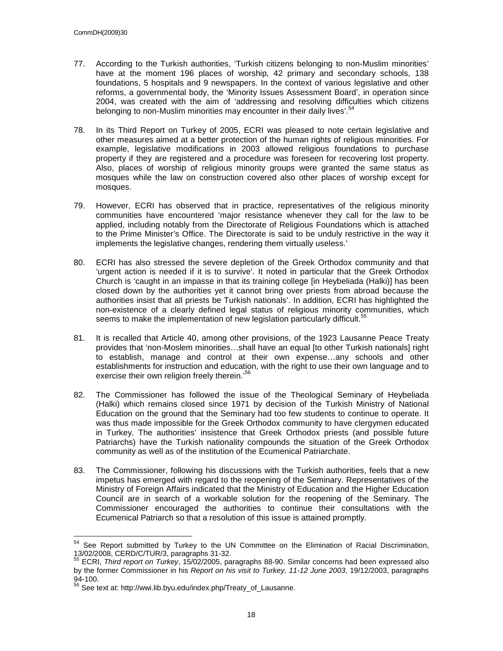- 77. According to the Turkish authorities, 'Turkish citizens belonging to non-Muslim minorities' have at the moment 196 places of worship, 42 primary and secondary schools, 138 foundations, 5 hospitals and 9 newspapers. In the context of various legislative and other reforms, a governmental body, the 'Minority Issues Assessment Board', in operation since 2004, was created with the aim of 'addressing and resolving difficulties which citizens belonging to non-Muslim minorities may encounter in their daily lives'.<sup>54</sup>
- 78. In its Third Report on Turkey of 2005, ECRI was pleased to note certain legislative and other measures aimed at a better protection of the human rights of religious minorities. For example, legislative modifications in 2003 allowed religious foundations to purchase property if they are registered and a procedure was foreseen for recovering lost property. Also, places of worship of religious minority groups were granted the same status as mosques while the law on construction covered also other places of worship except for mosques.
- 79. However, ECRI has observed that in practice, representatives of the religious minority communities have encountered 'major resistance whenever they call for the law to be applied, including notably from the Directorate of Religious Foundations which is attached to the Prime Minister's Office. The Directorate is said to be unduly restrictive in the way it implements the legislative changes, rendering them virtually useless.'
- 80. ECRI has also stressed the severe depletion of the Greek Orthodox community and that 'urgent action is needed if it is to survive'. It noted in particular that the Greek Orthodox Church is 'caught in an impasse in that its training college [in Heybeliada (Halki)] has been closed down by the authorities yet it cannot bring over priests from abroad because the authorities insist that all priests be Turkish nationals'. In addition, ECRI has highlighted the non-existence of a clearly defined legal status of religious minority communities, which seems to make the implementation of new legislation particularly difficult.<sup>55</sup>
- 81. It is recalled that Article 40, among other provisions, of the 1923 Lausanne Peace Treaty provides that 'non-Moslem minorities…shall have an equal [to other Turkish nationals] right to establish, manage and control at their own expense…any schools and other establishments for instruction and education, with the right to use their own language and to exercise their own religion freely therein.'<sup>56</sup>
- 82. The Commissioner has followed the issue of the Theological Seminary of Heybeliada (Halki) which remains closed since 1971 by decision of the Turkish Ministry of National Education on the ground that the Seminary had too few students to continue to operate. It was thus made impossible for the Greek Orthodox community to have clergymen educated in Turkey. The authorities' insistence that Greek Orthodox priests (and possible future Patriarchs) have the Turkish nationality compounds the situation of the Greek Orthodox community as well as of the institution of the Ecumenical Patriarchate.
- 83. The Commissioner, following his discussions with the Turkish authorities, feels that a new impetus has emerged with regard to the reopening of the Seminary. Representatives of the Ministry of Foreign Affairs indicated that the Ministry of Education and the Higher Education Council are in search of a workable solution for the reopening of the Seminary. The Commissioner encouraged the authorities to continue their consultations with the Ecumenical Patriarch so that a resolution of this issue is attained promptly.

 $\overline{a}$ <sup>54</sup> See Report submitted by Turkey to the UN Committee on the Elimination of Racial Discrimination, 13/02/2008, CERD/C/TUR/3, paragraphs 31-32.

<sup>55</sup> ECRI, Third report on Turkey, 15/02/2005, paragraphs 88-90. Similar concerns had been expressed also by the former Commissioner in his Report on his visit to Turkey, 11-12 June 2003, 19/12/2003, paragraphs  $94-100.$ 

<sup>56</sup> See text at: http://wwi.lib.byu.edu/index.php/Treaty\_of\_Lausanne.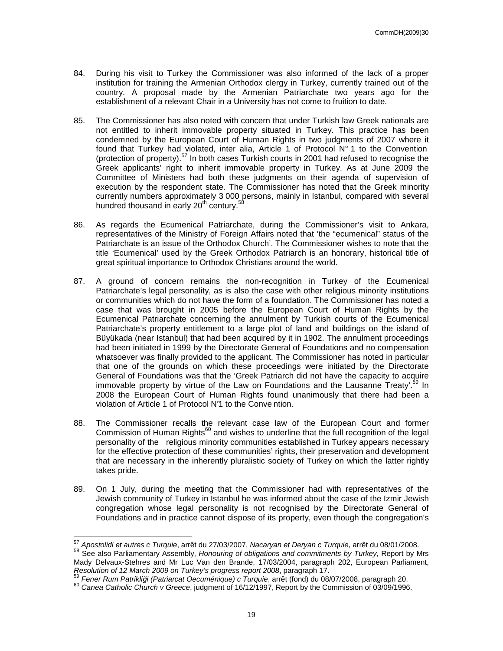- 84. During his visit to Turkey the Commissioner was also informed of the lack of a proper institution for training the Armenian Orthodox clergy in Turkey, currently trained out of the country. A proposal made by the Armenian Patriarchate two years ago for the establishment of a relevant Chair in a University has not come to fruition to date.
- 85. The Commissioner has also noted with concern that under Turkish law Greek nationals are not entitled to inherit immovable property situated in Turkey. This practice has been condemned by the European Court of Human Rights in two judgments of 2007 where it found that Turkey had violated, inter alia, Article 1 of Protocol N° 1 to the Convention (protection of property).<sup>57</sup> In both cases Turkish courts in 2001 had refused to recognise the Greek applicants' right to inherit immovable property in Turkey. As at June 2009 the Committee of Ministers had both these judgments on their agenda of supervision of execution by the respondent state. The Commissioner has noted that the Greek minority currently numbers approximately 3 000 persons, mainly in Istanbul, compared with several hundred thousand in early 20<sup>th</sup> century.<sup>58</sup>
- 86. As regards the Ecumenical Patriarchate, during the Commissioner's visit to Ankara, representatives of the Ministry of Foreign Affairs noted that 'the "ecumenical" status of the Patriarchate is an issue of the Orthodox Church'. The Commissioner wishes to note that the title 'Ecumenical' used by the Greek Orthodox Patriarch is an honorary, historical title of great spiritual importance to Orthodox Christians around the world.
- 87. A ground of concern remains the non-recognition in Turkey of the Ecumenical Patriarchate's legal personality, as is also the case with other religious minority institutions or communities which do not have the form of a foundation. The Commissioner has noted a case that was brought in 2005 before the European Court of Human Rights by the Ecumenical Patriarchate concerning the annulment by Turkish courts of the Ecumenical Patriarchate's property entitlement to a large plot of land and buildings on the island of Büyükada (near Istanbul) that had been acquired by it in 1902. The annulment proceedings had been initiated in 1999 by the Directorate General of Foundations and no compensation whatsoever was finally provided to the applicant. The Commissioner has noted in particular that one of the grounds on which these proceedings were initiated by the Directorate General of Foundations was that the 'Greek Patriarch did not have the capacity to acquire immovable property by virtue of the Law on Foundations and the Lausanne Treaty'.<sup>59</sup> In 2008 the European Court of Human Rights found unanimously that there had been a violation of Article 1 of Protocol N°1 to the Conve ntion.
- 88. The Commissioner recalls the relevant case law of the European Court and former Commission of Human Rights<sup>60</sup> and wishes to underline that the full recognition of the legal personality of the religious minority communities established in Turkey appears necessary for the effective protection of these communities' rights, their preservation and development that are necessary in the inherently pluralistic society of Turkey on which the latter rightly takes pride.
- 89. On 1 July, during the meeting that the Commissioner had with representatives of the Jewish community of Turkey in Istanbul he was informed about the case of the Izmir Jewish congregation whose legal personality is not recognised by the Directorate General of Foundations and in practice cannot dispose of its property, even though the congregation's

 $\overline{a}$ <sup>57</sup> Apostolidi et autres c Turquie, arrêt du 27/03/2007, Nacaryan et Deryan c Turquie, arrêt du 08/01/2008.

<sup>58</sup> See also Parliamentary Assembly, Honouring of obligations and commitments by Turkey, Report by Mrs Mady Delvaux-Stehres and Mr Luc Van den Brande, 17/03/2004, paragraph 202, European Parliament, Resolution of 12 March 2009 on Turkey's progress report 2008, paragraph 17.

<sup>59</sup> Fener Rum Patrikliği (Patriarcat Oecuménique) c Turquie, arrêt (fond) du 08/07/2008, paragraph 20.

<sup>&</sup>lt;sup>60</sup> Canea Catholic Church v Greece, judgment of 16/12/1997, Report by the Commission of 03/09/1996.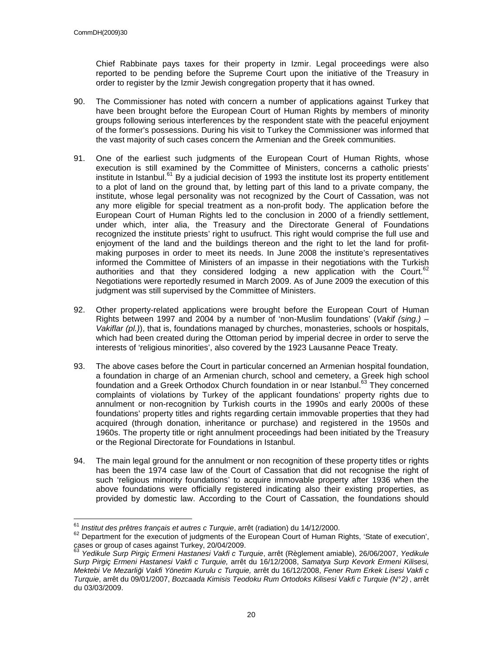$\overline{\phantom{a}}$ 

Chief Rabbinate pays taxes for their property in Izmir. Legal proceedings were also reported to be pending before the Supreme Court upon the initiative of the Treasury in order to register by the Izmir Jewish congregation property that it has owned.

- 90. The Commissioner has noted with concern a number of applications against Turkey that have been brought before the European Court of Human Rights by members of minority groups following serious interferences by the respondent state with the peaceful enjoyment of the former's possessions. During his visit to Turkey the Commissioner was informed that the vast majority of such cases concern the Armenian and the Greek communities.
- 91. One of the earliest such judgments of the European Court of Human Rights, whose execution is still examined by the Committee of Ministers, concerns a catholic priests' institute in Istanbul.<sup>61</sup> By a judicial decision of 1993 the institute lost its property entitlement to a plot of land on the ground that, by letting part of this land to a private company, the institute, whose legal personality was not recognized by the Court of Cassation, was not any more eligible for special treatment as a non-profit body. The application before the European Court of Human Rights led to the conclusion in 2000 of a friendly settlement, under which, inter alia, the Treasury and the Directorate General of Foundations recognized the institute priests' right to usufruct. This right would comprise the full use and enjoyment of the land and the buildings thereon and the right to let the land for profitmaking purposes in order to meet its needs. In June 2008 the institute's representatives informed the Committee of Ministers of an impasse in their negotiations with the Turkish authorities and that they considered lodging a new application with the Court.<sup>62</sup> Negotiations were reportedly resumed in March 2009. As of June 2009 the execution of this judgment was still supervised by the Committee of Ministers.
- 92. Other property-related applications were brought before the European Court of Human Rights between 1997 and 2004 by a number of 'non-Muslim foundations' (Vakif (sing.)  $-$ Vakiflar (pl.)), that is, foundations managed by churches, monasteries, schools or hospitals, which had been created during the Ottoman period by imperial decree in order to serve the interests of 'religious minorities', also covered by the 1923 Lausanne Peace Treaty.
- 93. The above cases before the Court in particular concerned an Armenian hospital foundation, a foundation in charge of an Armenian church, school and cemetery, a Greek high school foundation and a Greek Orthodox Church foundation in or near Istanbul.<sup>63</sup> They concerned complaints of violations by Turkey of the applicant foundations' property rights due to annulment or non-recognition by Turkish courts in the 1990s and early 2000s of these foundations' property titles and rights regarding certain immovable properties that they had acquired (through donation, inheritance or purchase) and registered in the 1950s and 1960s. The property title or right annulment proceedings had been initiated by the Treasury or the Regional Directorate for Foundations in Istanbul.
- 94. The main legal ground for the annulment or non recognition of these property titles or rights has been the 1974 case law of the Court of Cassation that did not recognise the right of such 'religious minority foundations' to acquire immovable property after 1936 when the above foundations were officially registered indicating also their existing properties, as provided by domestic law. According to the Court of Cassation, the foundations should

 $61$  Institut des prêtres français et autres c Turquie, arrêt (radiation) du 14/12/2000.

<sup>&</sup>lt;sup>62</sup> Department for the execution of judgments of the European Court of Human Rights, 'State of execution', cases or group of cases against Turkey, 20/04/2009.

<sup>&</sup>lt;sup>63</sup> Yedikule Surp Pirgiç Ermeni Hastanesi Vakfi c Turquie, arrêt (Règlement amiable), 26/06/2007, Yedikule Surp Pirgiç Ermeni Hastanesi Vakfi c Turquie, arrêt du 16/12/2008, Samatya Surp Kevork Ermeni Kilisesi, Mektebi Ve Mezarliği Vakfi Yönetim Kurulu c Turquie, arrêt du 16/12/2008, Fener Rum Erkek Lisesi Vakfi c Turquie, arrêt du 09/01/2007, Bozcaada Kimisis Teodoku Rum Ortodoks Kilisesi Vakfi c Turquie (N°2), arrêt du 03/03/2009.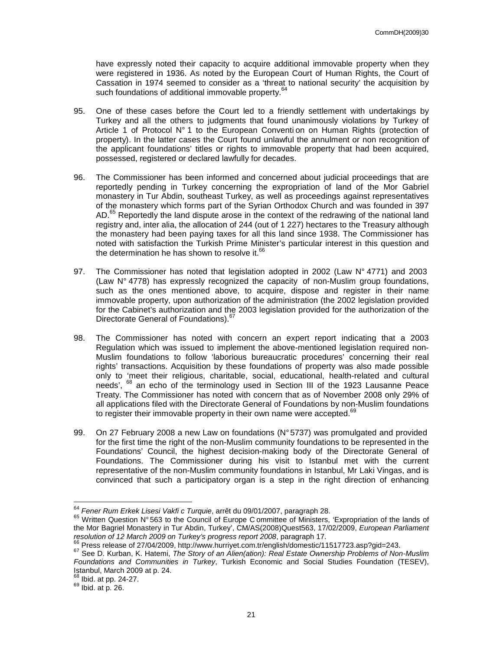have expressly noted their capacity to acquire additional immovable property when they were registered in 1936. As noted by the European Court of Human Rights, the Court of Cassation in 1974 seemed to consider as a 'threat to national security' the acquisition by such foundations of additional immovable property.<sup>64</sup>

- 95. One of these cases before the Court led to a friendly settlement with undertakings by Turkey and all the others to judgments that found unanimously violations by Turkey of Article 1 of Protocol  $N^{\circ}$  1 to the European Convention on Human Rights (protection of property). In the latter cases the Court found unlawful the annulment or non recognition of the applicant foundations' titles or rights to immovable property that had been acquired, possessed, registered or declared lawfully for decades.
- 96. The Commissioner has been informed and concerned about judicial proceedings that are reportedly pending in Turkey concerning the expropriation of land of the Mor Gabriel monastery in Tur Abdin, southeast Turkey, as well as proceedings against representatives of the monastery which forms part of the Syrian Orthodox Church and was founded in 397 AD.<sup>65</sup> Reportedly the land dispute arose in the context of the redrawing of the national land registry and, inter alia, the allocation of 244 (out of 1 227) hectares to the Treasury although the monastery had been paying taxes for all this land since 1938. The Commissioner has noted with satisfaction the Turkish Prime Minister's particular interest in this question and the determination he has shown to resolve it. $<sup>6</sup>$ </sup>
- 97. The Commissioner has noted that legislation adopted in 2002 (Law  $N^{\circ}$  4771) and 2003 (Law N° 4778) has expressly recognized the capacity of non-Muslim group foundations, such as the ones mentioned above, to acquire, dispose and register in their name immovable property, upon authorization of the administration (the 2002 legislation provided for the Cabinet's authorization and the 2003 legislation provided for the authorization of the Directorate General of Foundations).<sup>67</sup>
- 98. The Commissioner has noted with concern an expert report indicating that a 2003 Regulation which was issued to implement the above-mentioned legislation required non-Muslim foundations to follow 'laborious bureaucratic procedures' concerning their real rights' transactions. Acquisition by these foundations of property was also made possible only to 'meet their religious, charitable, social, educational, health-related and cultural needs', <sup>68</sup> an echo of the terminology used in Section III of the 1923 Lausanne Peace Treaty. The Commissioner has noted with concern that as of November 2008 only 29% of all applications filed with the Directorate General of Foundations by non-Muslim foundations to register their immovable property in their own name were accepted.<sup>69</sup>
- 99. On 27 February 2008 a new Law on foundations (N° 5737) was promulgated and provided for the first time the right of the non-Muslim community foundations to be represented in the Foundations' Council, the highest decision-making body of the Directorate General of Foundations. The Commissioner during his visit to Istanbul met with the current representative of the non-Muslim community foundations in Istanbul, Mr Laki Vingas, and is convinced that such a participatory organ is a step in the right direction of enhancing

 $68$  Ibid. at pp. 24-27.

 $\overline{\phantom{a}}$ 

<sup>&</sup>lt;sup>64</sup> Fener Rum Erkek Lisesi Vakfi c Turquie, arrêt du 09/01/2007, paragraph 28.

<sup>65</sup> Written Question N° 563 to the Council of Europe C ommittee of Ministers, 'Expropriation of the lands of the Mor Bagriel Monastery in Tur Abdin, Turkey', CM/AS(2008)Quest563, 17/02/2009, European Parliament resolution of 12 March 2009 on Turkey's progress report 2008, paragraph 17.

<sup>66</sup> Press release of 27/04/2009, http://www.hurriyet.com.tr/english/domestic/11517723.asp?gid=243.

<sup>&</sup>lt;sup>67</sup> See D. Kurban, K. Hatemi, *The Story of an Alien(ation): Real Estate Ownership Problems of Non-Muslim* Foundations and Communities in Turkey, Turkish Economic and Social Studies Foundation (TESEV), Istanbul, March 2009 at p. 24.

<sup>69</sup> Ibid. at p. 26.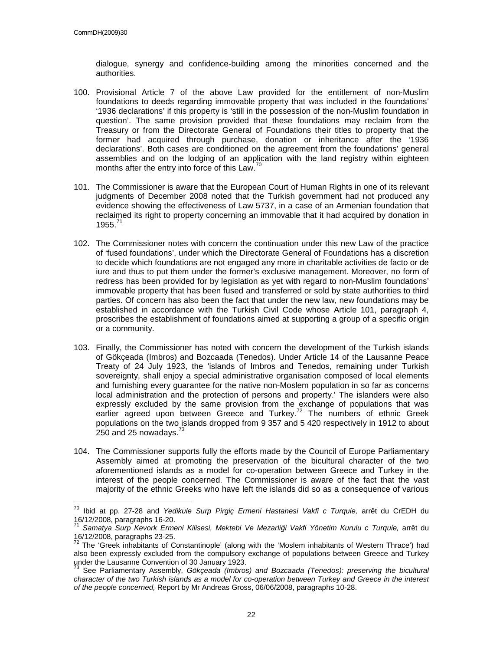$\overline{a}$ 

dialogue, synergy and confidence-building among the minorities concerned and the authorities.

- 100. Provisional Article 7 of the above Law provided for the entitlement of non-Muslim foundations to deeds regarding immovable property that was included in the foundations' '1936 declarations' if this property is 'still in the possession of the non-Muslim foundation in question'. The same provision provided that these foundations may reclaim from the Treasury or from the Directorate General of Foundations their titles to property that the former had acquired through purchase, donation or inheritance after the '1936 declarations'. Both cases are conditioned on the agreement from the foundations' general assemblies and on the lodging of an application with the land registry within eighteen months after the entry into force of this Law.<sup>7</sup>
- 101. The Commissioner is aware that the European Court of Human Rights in one of its relevant judgments of December 2008 noted that the Turkish government had not produced any evidence showing the effectiveness of Law 5737, in a case of an Armenian foundation that reclaimed its right to property concerning an immovable that it had acquired by donation in  $1955.$
- 102. The Commissioner notes with concern the continuation under this new Law of the practice of 'fused foundations', under which the Directorate General of Foundations has a discretion to decide which foundations are not engaged any more in charitable activities de facto or de iure and thus to put them under the former's exclusive management. Moreover, no form of redress has been provided for by legislation as yet with regard to non-Muslim foundations' immovable property that has been fused and transferred or sold by state authorities to third parties. Of concern has also been the fact that under the new law, new foundations may be established in accordance with the Turkish Civil Code whose Article 101, paragraph 4, proscribes the establishment of foundations aimed at supporting a group of a specific origin or a community.
- 103. Finally, the Commissioner has noted with concern the development of the Turkish islands of Gökçeada (Imbros) and Bozcaada (Tenedos). Under Article 14 of the Lausanne Peace Treaty of 24 July 1923, the 'islands of Imbros and Tenedos, remaining under Turkish sovereignty, shall enjoy a special administrative organisation composed of local elements and furnishing every guarantee for the native non-Moslem population in so far as concerns local administration and the protection of persons and property.' The islanders were also expressly excluded by the same provision from the exchange of populations that was earlier agreed upon between Greece and Turkey.<sup>72</sup> The numbers of ethnic Greek populations on the two islands dropped from 9 357 and 5 420 respectively in 1912 to about 250 and 25 nowadays. $73$
- 104. The Commissioner supports fully the efforts made by the Council of Europe Parliamentary Assembly aimed at promoting the preservation of the bicultural character of the two aforementioned islands as a model for co-operation between Greece and Turkey in the interest of the people concerned. The Commissioner is aware of the fact that the vast majority of the ethnic Greeks who have left the islands did so as a consequence of various

<sup>&</sup>lt;sup>70</sup> Ibid at pp. 27-28 and Yedikule Surp Pirgiç Ermeni Hastanesi Vakfi c Turquie, arrêt du CrEDH du 16/12/2008, paragraphs 16-20.

<sup>&</sup>lt;sup>71</sup> Samatya Surp Kevork Ermeni Kilisesi, Mektebi Ve Mezarliği Vakfi Yönetim Kurulu c Turquie, arrêt du 16/12/2008, paragraphs 23-25.

 $72$  The 'Greek inhabitants of Constantinople' (along with the 'Moslem inhabitants of Western Thrace') had also been expressly excluded from the compulsory exchange of populations between Greece and Turkey under the Lausanne Convention of 30 January 1923.

 $^{73}$  See Parliamentary Assembly, Gökçeada (Imbros) and Bozcaada (Tenedos): preserving the bicultural character of the two Turkish islands as a model for co-operation between Turkey and Greece in the interest of the people concerned, Report by Mr Andreas Gross, 06/06/2008, paragraphs 10-28.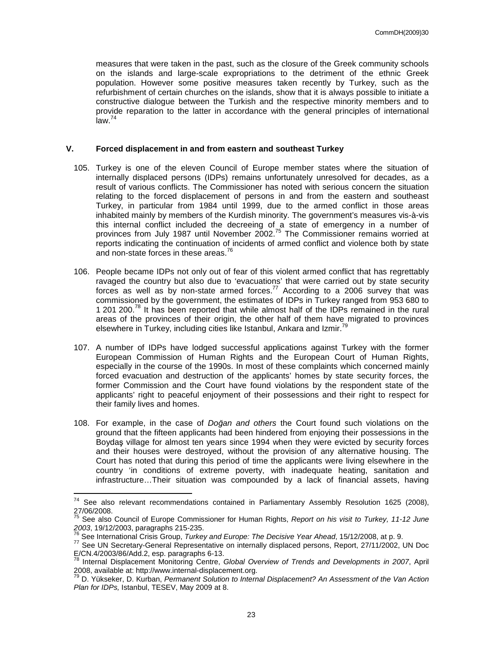measures that were taken in the past, such as the closure of the Greek community schools on the islands and large-scale expropriations to the detriment of the ethnic Greek population. However some positive measures taken recently by Turkey, such as the refurbishment of certain churches on the islands, show that it is always possible to initiate a constructive dialogue between the Turkish and the respective minority members and to provide reparation to the latter in accordance with the general principles of international  $\mathsf{law}^{-74}$ 

#### **V. Forced displacement in and from eastern and southeast Turkey**

- 105. Turkey is one of the eleven Council of Europe member states where the situation of internally displaced persons (IDPs) remains unfortunately unresolved for decades, as a result of various conflicts. The Commissioner has noted with serious concern the situation relating to the forced displacement of persons in and from the eastern and southeast Turkey, in particular from 1984 until 1999, due to the armed conflict in those areas inhabited mainly by members of the Kurdish minority. The government's measures vis-à-vis this internal conflict included the decreeing of a state of emergency in a number of provinces from July 1987 until November 2002.<sup>75</sup> The Commissioner remains worried at reports indicating the continuation of incidents of armed conflict and violence both by state and non-state forces in these areas.<sup>7</sup>
- 106. People became IDPs not only out of fear of this violent armed conflict that has regrettably ravaged the country but also due to 'evacuations' that were carried out by state security forces as well as by non-state armed forces.<sup>77</sup> According to a 2006 survey that was commissioned by the government, the estimates of IDPs in Turkey ranged from 953 680 to 1 201 200.<sup>78</sup> It has been reported that while almost half of the IDPs remained in the rural areas of the provinces of their origin, the other half of them have migrated to provinces elsewhere in Turkey, including cities like Istanbul, Ankara and Izmir.<sup>79</sup>
- 107. A number of IDPs have lodged successful applications against Turkey with the former European Commission of Human Rights and the European Court of Human Rights, especially in the course of the 1990s. In most of these complaints which concerned mainly forced evacuation and destruction of the applicants' homes by state security forces, the former Commission and the Court have found violations by the respondent state of the applicants' right to peaceful enjoyment of their possessions and their right to respect for their family lives and homes.
- 108. For example, in the case of Doğan and others the Court found such violations on the ground that the fifteen applicants had been hindered from enjoying their possessions in the Boydaş village for almost ten years since 1994 when they were evicted by security forces and their houses were destroyed, without the provision of any alternative housing. The Court has noted that during this period of time the applicants were living elsewhere in the country 'in conditions of extreme poverty, with inadequate heating, sanitation and infrastructure…Their situation was compounded by a lack of financial assets, having

 $\overline{a}$ 

 $74$  See also relevant recommendations contained in Parliamentary Assembly Resolution 1625 (2008), 27/06/2008.

<sup>&</sup>lt;sup>75</sup> See also Council of Europe Commissioner for Human Rights, Report on his visit to Turkey, 11-12 June 2003, 19/12/2003, paragraphs 215-235.

<sup>76</sup> See International Crisis Group, Turkey and Europe: The Decisive Year Ahead, 15/12/2008, at p. 9.

<sup>77</sup> See UN Secretary-General Representative on internally displaced persons, Report, 27/11/2002, UN Doc E/CN.4/2003/86/Add.2, esp. paragraphs 6-13.

<sup>78</sup> Internal Displacement Monitoring Centre, Global Overview of Trends and Developments in 2007, April 2008, available at: http://www.internal-displacement.org.

D. Yükseker, D. Kurban, Permanent Solution to Internal Displacement? An Assessment of the Van Action Plan for IDPs, Istanbul, TESEV, May 2009 at 8.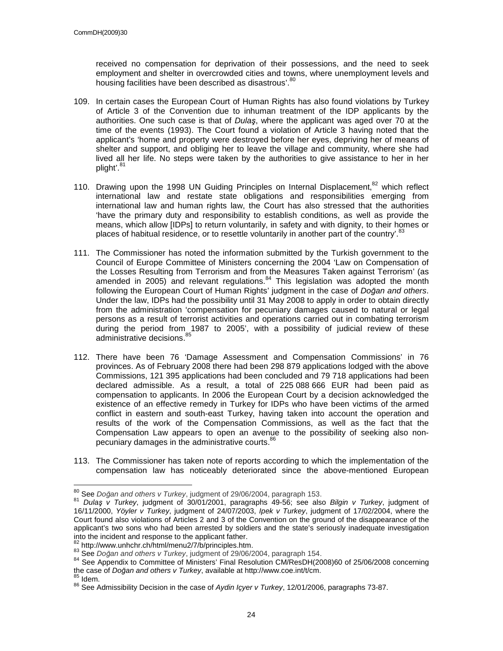received no compensation for deprivation of their possessions, and the need to seek employment and shelter in overcrowded cities and towns, where unemployment levels and housing facilities have been described as disastrous'. 80

- 109. In certain cases the European Court of Human Rights has also found violations by Turkey of Article 3 of the Convention due to inhuman treatment of the IDP applicants by the authorities. One such case is that of Dulaş, where the applicant was aged over 70 at the time of the events (1993). The Court found a violation of Article 3 having noted that the applicant's 'home and property were destroyed before her eyes, depriving her of means of shelter and support, and obliging her to leave the village and community, where she had lived all her life. No steps were taken by the authorities to give assistance to her in her plight'.<sup>81</sup>
- 110. Drawing upon the 1998 UN Guiding Principles on Internal Displacement,  $82$  which reflect international law and restate state obligations and responsibilities emerging from international law and human rights law, the Court has also stressed that the authorities 'have the primary duty and responsibility to establish conditions, as well as provide the means, which allow [IDPs] to return voluntarily, in safety and with dignity, to their homes or places of habitual residence, or to resettle voluntarily in another part of the country'.<sup>83</sup>
- 111. The Commissioner has noted the information submitted by the Turkish government to the Council of Europe Committee of Ministers concerning the 2004 'Law on Compensation of the Losses Resulting from Terrorism and from the Measures Taken against Terrorism' (as amended in 2005) and relevant regulations. $84$  This legislation was adopted the month following the European Court of Human Rights' judgment in the case of *Doğan and others*. Under the law, IDPs had the possibility until 31 May 2008 to apply in order to obtain directly from the administration 'compensation for pecuniary damages caused to natural or legal persons as a result of terrorist activities and operations carried out in combating terrorism during the period from 1987 to 2005', with a possibility of judicial review of these administrative decisions.<sup>85</sup>
- 112. There have been 76 'Damage Assessment and Compensation Commissions' in 76 provinces. As of February 2008 there had been 298 879 applications lodged with the above Commissions, 121 395 applications had been concluded and 79 718 applications had been declared admissible. As a result, a total of 225 088 666 EUR had been paid as compensation to applicants. In 2006 the European Court by a decision acknowledged the existence of an effective remedy in Turkey for IDPs who have been victims of the armed conflict in eastern and south-east Turkey, having taken into account the operation and results of the work of the Compensation Commissions, as well as the fact that the Compensation Law appears to open an avenue to the possibility of seeking also nonpecuniary damages in the administrative courts.<sup>86</sup>
- 113. The Commissioner has taken note of reports according to which the implementation of the compensation law has noticeably deteriorated since the above-mentioned European

 $\overline{a}$  $\frac{80}{10}$  See Doğan and others v Turkey, judgment of 29/06/2004, paragraph 153.

<sup>81</sup> Dulas v Turkey, judgment of 30/01/2001, paragraphs 49-56; see also Bilgin v Turkey, judgment of 16/11/2000, Yöyler v Turkey, judgment of 24/07/2003, Ipek v Turkey, judgment of 17/02/2004, where the Court found also violations of Articles 2 and 3 of the Convention on the ground of the disappearance of the applicant's two sons who had been arrested by soldiers and the state's seriously inadequate investigation into the incident and response to the applicant father.

 $\mu^2$  http://www.unhchr.ch/html/menu2/7/b/principles.htm.

<sup>83</sup> See Doğan and others v Turkey, judgment of 29/06/2004, paragraph 154.

<sup>84</sup> See Appendix to Committee of Ministers' Final Resolution CM/ResDH(2008)60 of 25/06/2008 concerning the case of Doğan and others v Turkey, available at http://www.coe.int/t/cm.

 $\delta$  Idem.

<sup>&</sup>lt;sup>86</sup> See Admissibility Decision in the case of Aydin Içyer v Turkey, 12/01/2006, paragraphs 73-87.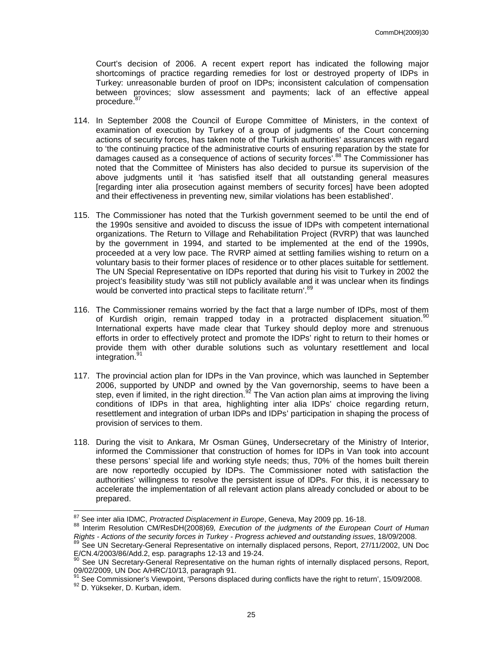Court's decision of 2006. A recent expert report has indicated the following major shortcomings of practice regarding remedies for lost or destroyed property of IDPs in Turkey: unreasonable burden of proof on IDPs; inconsistent calculation of compensation between provinces; slow assessment and payments; lack of an effective appeal procedure.<sup>8</sup>

- 114. In September 2008 the Council of Europe Committee of Ministers, in the context of examination of execution by Turkey of a group of judgments of the Court concerning actions of security forces, has taken note of the Turkish authorities' assurances with regard to 'the continuing practice of the administrative courts of ensuring reparation by the state for damages caused as a consequence of actions of security forces<sup>', 88</sup> The Commissioner has noted that the Committee of Ministers has also decided to pursue its supervision of the above judgments until it 'has satisfied itself that all outstanding general measures [regarding inter alia prosecution against members of security forces] have been adopted and their effectiveness in preventing new, similar violations has been established'.
- 115. The Commissioner has noted that the Turkish government seemed to be until the end of the 1990s sensitive and avoided to discuss the issue of IDPs with competent international organizations. The Return to Village and Rehabilitation Project (RVRP) that was launched by the government in 1994, and started to be implemented at the end of the 1990s, proceeded at a very low pace. The RVRP aimed at settling families wishing to return on a voluntary basis to their former places of residence or to other places suitable for settlement. The UN Special Representative on IDPs reported that during his visit to Turkey in 2002 the project's feasibility study 'was still not publicly available and it was unclear when its findings would be converted into practical steps to facilitate return'.<sup>89</sup>
- 116. The Commissioner remains worried by the fact that a large number of IDPs, most of them of Kurdish origin, remain trapped today in a protracted displacement situation.<sup>90</sup> International experts have made clear that Turkey should deploy more and strenuous efforts in order to effectively protect and promote the IDPs' right to return to their homes or provide them with other durable solutions such as voluntary resettlement and local .<br>integration.<sup>91</sup>
- 117. The provincial action plan for IDPs in the Van province, which was launched in September 2006, supported by UNDP and owned by the Van governorship, seems to have been a step, even if limited, in the right direction.<sup>92</sup> The Van action plan aims at improving the living conditions of IDPs in that area, highlighting inter alia IDPs' choice regarding return, resettlement and integration of urban IDPs and IDPs' participation in shaping the process of provision of services to them.
- 118. During the visit to Ankara, Mr Osman Güneş, Undersecretary of the Ministry of Interior, informed the Commissioner that construction of homes for IDPs in Van took into account these persons' special life and working style needs; thus, 70% of the homes built therein are now reportedly occupied by IDPs. The Commissioner noted with satisfaction the authorities' willingness to resolve the persistent issue of IDPs. For this, it is necessary to accelerate the implementation of all relevant action plans already concluded or about to be prepared.

 $\overline{a}$ 

 $\frac{87}{8}$  See inter alia IDMC, Protracted Displacement in Europe, Geneva, May 2009 pp. 16-18.

<sup>88</sup> Interim Resolution CM/ResDH(2008)69, Execution of the judgments of the European Court of Human Rights - Actions of the security forces in Turkey - Progress achieved and outstanding issues, 18/09/2008.

<sup>89</sup> See UN Secretary-General Representative on internally displaced persons, Report, 27/11/2002, UN Doc E/CN.4/2003/86/Add.2, esp. paragraphs 12-13 and 19-24.

<sup>&</sup>lt;sup>90</sup> See UN Secretary-General Representative on the human rights of internally displaced persons, Report, 09/02/2009, UN Doc A/HRC/10/13, paragraph 91.

See Commissioner's Viewpoint, 'Persons displaced during conflicts have the right to return', 15/09/2008.

<sup>92</sup> D. Yükseker, D. Kurban, idem.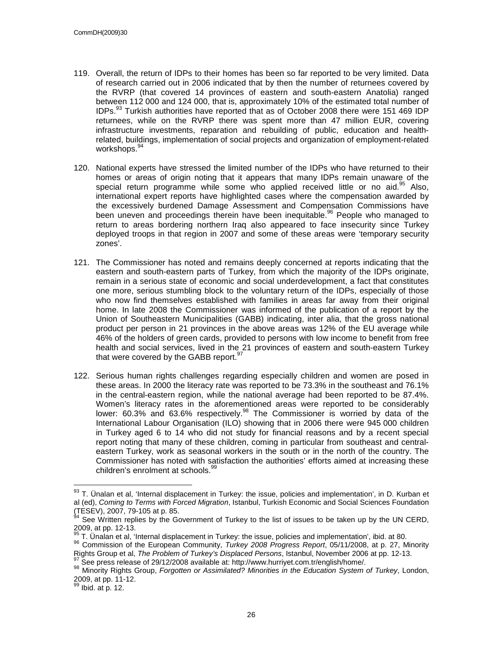- 119. Overall, the return of IDPs to their homes has been so far reported to be very limited. Data of research carried out in 2006 indicated that by then the number of returnees covered by the RVRP (that covered 14 provinces of eastern and south-eastern Anatolia) ranged between 112 000 and 124 000, that is, approximately 10% of the estimated total number of  $IDPs<sup>93</sup>$  Turkish authorities have reported that as of October 2008 there were 151 469 IDP returnees, while on the RVRP there was spent more than 47 million EUR, covering infrastructure investments, reparation and rebuilding of public, education and healthrelated, buildings, implementation of social projects and organization of employment-related workshops. 94
- 120. National experts have stressed the limited number of the IDPs who have returned to their homes or areas of origin noting that it appears that many IDPs remain unaware of the special return programme while some who applied received little or no aid.<sup>95</sup> Also, international expert reports have highlighted cases where the compensation awarded by the excessively burdened Damage Assessment and Compensation Commissions have been uneven and proceedings therein have been inequitable.<sup>96</sup> People who managed to return to areas bordering northern Iraq also appeared to face insecurity since Turkey deployed troops in that region in 2007 and some of these areas were 'temporary security zones'.
- 121. The Commissioner has noted and remains deeply concerned at reports indicating that the eastern and south-eastern parts of Turkey, from which the majority of the IDPs originate, remain in a serious state of economic and social underdevelopment, a fact that constitutes one more, serious stumbling block to the voluntary return of the IDPs, especially of those who now find themselves established with families in areas far away from their original home. In late 2008 the Commissioner was informed of the publication of a report by the Union of Southeastern Municipalities (GABB) indicating, inter alia, that the gross national product per person in 21 provinces in the above areas was 12% of the EU average while 46% of the holders of green cards, provided to persons with low income to benefit from free health and social services, lived in the 21 provinces of eastern and south-eastern Turkey that were covered by the GABB report. $97$
- 122. Serious human rights challenges regarding especially children and women are posed in these areas. In 2000 the literacy rate was reported to be 73.3% in the southeast and 76.1% in the central-eastern region, while the national average had been reported to be 87.4%. Women's literacy rates in the aforementioned areas were reported to be considerably lower: 60.3% and 63.6% respectively.<sup>98</sup> The Commissioner is worried by data of the International Labour Organisation (ILO) showing that in 2006 there were 945 000 children in Turkey aged 6 to 14 who did not study for financial reasons and by a recent special report noting that many of these children, coming in particular from southeast and centraleastern Turkey, work as seasonal workers in the south or in the north of the country. The Commissioner has noted with satisfaction the authorities' efforts aimed at increasing these children's enrolment at schools.<sup>99</sup>

 $\overline{a}$ 

 $93$  T. Ünalan et al, 'Internal displacement in Turkey: the issue, policies and implementation', in D. Kurban et al (ed), Coming to Terms with Forced Migration, Istanbul, Turkish Economic and Social Sciences Foundation (TESEV), 2007, 79-105 at p. 85.

 $94$  See Written replies by the Government of Turkey to the list of issues to be taken up by the UN CERD,  $2009$ , at pp. 12-13.

<sup>95</sup> T. Ünalan et al, 'Internal displacement in Turkey: the issue, policies and implementation', ibid. at 80.

<sup>&</sup>lt;sup>96</sup> Commission of the European Community, *Turkey 2008 Progress Report*, 05/11/2008, at p. 27, Minority Rights Group et al, The Problem of Turkey's Displaced Persons, Istanbul, November 2006 at pp. 12-13.

See press release of 29/12/2008 available at: http://www.hurrivet.com.tr/english/home/.

<sup>98</sup> Minority Rights Group, Forgotten or Assimilated? Minorities in the Education System of Turkey, London,  $2009$ , at pp. 11-12.

 $\theta$  Ibid. at p. 12.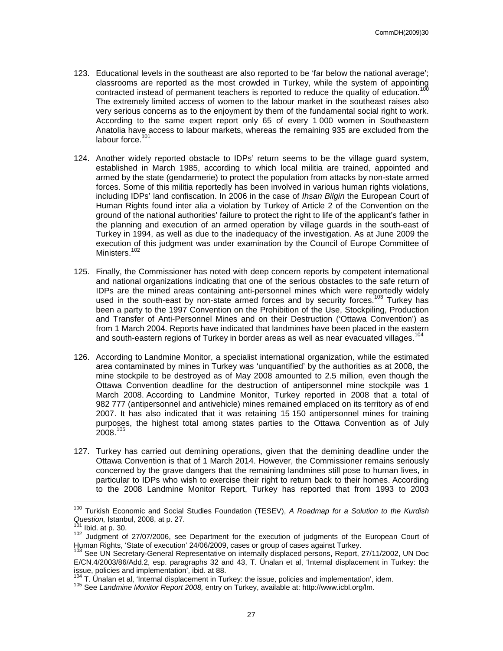- 123. Educational levels in the southeast are also reported to be 'far below the national average'; classrooms are reported as the most crowded in Turkey, while the system of appointing contracted instead of permanent teachers is reported to reduce the quality of education.<sup>100</sup> The extremely limited access of women to the labour market in the southeast raises also very serious concerns as to the enjoyment by them of the fundamental social right to work. According to the same expert report only 65 of every 1 000 women in Southeastern Anatolia have access to labour markets, whereas the remaining 935 are excluded from the labour force.<sup>101</sup>
- 124. Another widely reported obstacle to IDPs' return seems to be the village guard system, established in March 1985, according to which local militia are trained, appointed and armed by the state (gendarmerie) to protect the population from attacks by non-state armed forces. Some of this militia reportedly has been involved in various human rights violations, including IDPs' land confiscation. In 2006 in the case of Ihsan Bilgin the European Court of Human Rights found inter alia a violation by Turkey of Article 2 of the Convention on the ground of the national authorities' failure to protect the right to life of the applicant's father in the planning and execution of an armed operation by village guards in the south-east of Turkey in 1994, as well as due to the inadequacy of the investigation. As at June 2009 the execution of this judgment was under examination by the Council of Europe Committee of Ministers.<sup>10</sup>
- 125. Finally, the Commissioner has noted with deep concern reports by competent international and national organizations indicating that one of the serious obstacles to the safe return of IDPs are the mined areas containing anti-personnel mines which were reportedly widely used in the south-east by non-state armed forces and by security forces.<sup>103</sup> Turkey has been a party to the 1997 Convention on the Prohibition of the Use, Stockpiling, Production and Transfer of Anti-Personnel Mines and on their Destruction ('Ottawa Convention') as from 1 March 2004. Reports have indicated that landmines have been placed in the eastern and south-eastern regions of Turkey in border areas as well as near evacuated villages.<sup>10</sup>
- 126. According to Landmine Monitor, a specialist international organization, while the estimated area contaminated by mines in Turkey was 'unquantified' by the authorities as at 2008, the mine stockpile to be destroyed as of May 2008 amounted to 2.5 million, even though the Ottawa Convention deadline for the destruction of antipersonnel mine stockpile was 1 March 2008. According to Landmine Monitor, Turkey reported in 2008 that a total of 982 777 (antipersonnel and antivehicle) mines remained emplaced on its territory as of end 2007. It has also indicated that it was retaining 15 150 antipersonnel mines for training purposes, the highest total among states parties to the Ottawa Convention as of July  $2008.<sup>105</sup>$
- 127. Turkey has carried out demining operations, given that the demining deadline under the Ottawa Convention is that of 1 March 2014. However, the Commissioner remains seriously concerned by the grave dangers that the remaining landmines still pose to human lives, in particular to IDPs who wish to exercise their right to return back to their homes. According to the 2008 Landmine Monitor Report, Turkey has reported that from 1993 to 2003

 $\overline{\phantom{a}}$ 

<sup>&</sup>lt;sup>100</sup> Turkish Economic and Social Studies Foundation (TESEV), A Roadmap for a Solution to the Kurdish Question, Istanbul, 2008, at p. 27.

 $101$  Ibid. at p. 30.

<sup>102</sup> Judgment of 27/07/2006, see Department for the execution of judgments of the European Court of Human Rights, 'State of execution' 24/06/2009, cases or group of cases against Turkey.

<sup>&</sup>lt;sup>103</sup> See UN Secretary-General Representative on internally displaced persons, Report, 27/11/2002, UN Doc E/CN.4/2003/86/Add.2, esp. paragraphs 32 and 43, T. Ünalan et al, 'Internal displacement in Turkey: the issue, policies and implementation', ibid. at 88.

 $104$  T. Unalan et al, 'Internal displacement in Turkey: the issue, policies and implementation', idem.

<sup>105</sup> See Landmine Monitor Report 2008, entry on Turkey, available at: http://www.icbl.org/lm.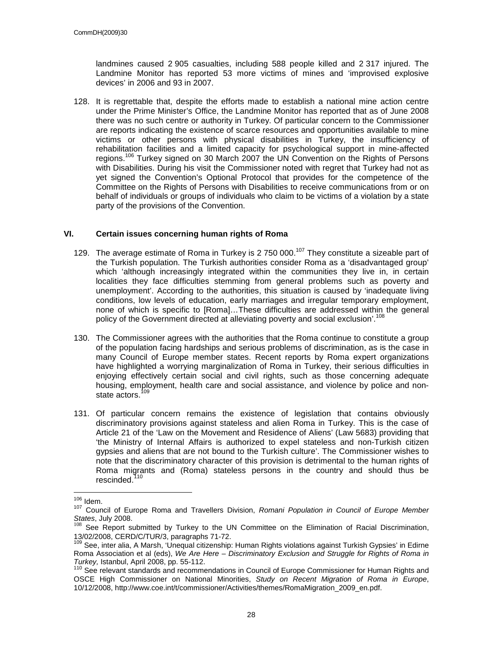landmines caused 2 905 casualties, including 588 people killed and 2 317 injured. The Landmine Monitor has reported 53 more victims of mines and 'improvised explosive devices' in 2006 and 93 in 2007.

128. It is regrettable that, despite the efforts made to establish a national mine action centre under the Prime Minister's Office, the Landmine Monitor has reported that as of June 2008 there was no such centre or authority in Turkey. Of particular concern to the Commissioner are reports indicating the existence of scarce resources and opportunities available to mine victims or other persons with physical disabilities in Turkey, the insufficiency of rehabilitation facilities and a limited capacity for psychological support in mine-affected regions.<sup>106</sup> Turkey signed on 30 March 2007 the UN Convention on the Rights of Persons with Disabilities. During his visit the Commissioner noted with regret that Turkey had not as yet signed the Convention's Optional Protocol that provides for the competence of the Committee on the Rights of Persons with Disabilities to receive communications from or on behalf of individuals or groups of individuals who claim to be victims of a violation by a state party of the provisions of the Convention.

#### **VI. Certain issues concerning human rights of Roma**

- 129. The average estimate of Roma in Turkey is 2 750 000.<sup>107</sup> They constitute a sizeable part of the Turkish population. The Turkish authorities consider Roma as a 'disadvantaged group' which 'although increasingly integrated within the communities they live in, in certain localities they face difficulties stemming from general problems such as poverty and unemployment'. According to the authorities, this situation is caused by 'inadequate living conditions, low levels of education, early marriages and irregular temporary employment, none of which is specific to [Roma]…These difficulties are addressed within the general policy of the Government directed at alleviating poverty and social exclusion'.<sup>108</sup>
- 130. The Commissioner agrees with the authorities that the Roma continue to constitute a group of the population facing hardships and serious problems of discrimination, as is the case in many Council of Europe member states. Recent reports by Roma expert organizations have highlighted a worrying marginalization of Roma in Turkey, their serious difficulties in enjoying effectively certain social and civil rights, such as those concerning adequate housing, employment, health care and social assistance, and violence by police and nonstate actors.<sup>109</sup>
- 131. Of particular concern remains the existence of legislation that contains obviously discriminatory provisions against stateless and alien Roma in Turkey. This is the case of Article 21 of the 'Law on the Movement and Residence of Aliens' (Law 5683) providing that 'the Ministry of Internal Affairs is authorized to expel stateless and non-Turkish citizen gypsies and aliens that are not bound to the Turkish culture'. The Commissioner wishes to note that the discriminatory character of this provision is detrimental to the human rights of Roma migrants and (Roma) stateless persons in the country and should thus be rescinded. $1$

 $\overline{a}$  $106$  Idem.

<sup>107</sup> Council of Europe Roma and Travellers Division, Romani Population in Council of Europe Member States, July 2008.

<sup>108</sup> See Report submitted by Turkey to the UN Committee on the Elimination of Racial Discrimination, 13/02/2008, CERD/C/TUR/3, paragraphs 71-72.

See, inter alia, A Marsh, 'Unequal citizenship: Human Rights violations against Turkish Gypsies' in Edirne Roma Association et al (eds), We Are Here – Discriminatory Exclusion and Struggle for Rights of Roma in Turkey, Istanbul, April 2008, pp. 55-112.

<sup>&</sup>lt;sup>110</sup> See relevant standards and recommendations in Council of Europe Commissioner for Human Rights and OSCE High Commissioner on National Minorities, Study on Recent Migration of Roma in Europe, 10/12/2008, http://www.coe.int/t/commissioner/Activities/themes/RomaMigration\_2009\_en.pdf.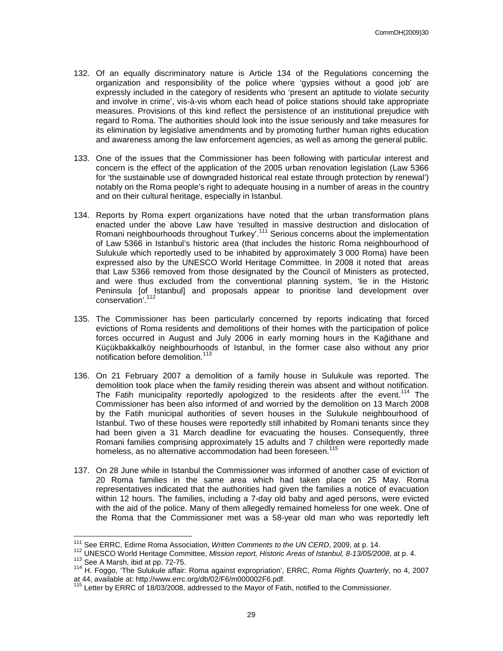- 132. Of an equally discriminatory nature is Article 134 of the Regulations concerning the organization and responsibility of the police where 'gypsies without a good job' are expressly included in the category of residents who 'present an aptitude to violate security and involve in crime', vis-à-vis whom each head of police stations should take appropriate measures. Provisions of this kind reflect the persistence of an institutional prejudice with regard to Roma. The authorities should look into the issue seriously and take measures for its elimination by legislative amendments and by promoting further human rights education and awareness among the law enforcement agencies, as well as among the general public.
- 133. One of the issues that the Commissioner has been following with particular interest and concern is the effect of the application of the 2005 urban renovation legislation (Law 5366 for 'the sustainable use of downgraded historical real estate through protection by renewal') notably on the Roma people's right to adequate housing in a number of areas in the country and on their cultural heritage, especially in Istanbul.
- 134. Reports by Roma expert organizations have noted that the urban transformation plans enacted under the above Law have 'resulted in massive destruction and dislocation of Romani neighbourhoods throughout Turkey'.<sup>111</sup> Serious concerns about the implementation of Law 5366 in Istanbul's historic area (that includes the historic Roma neighbourhood of Sulukule which reportedly used to be inhabited by approximately 3 000 Roma) have been expressed also by the UNESCO World Heritage Committee. In 2008 it noted that areas that Law 5366 removed from those designated by the Council of Ministers as protected, and were thus excluded from the conventional planning system, 'lie in the Historic Peninsula [of Istanbul] and proposals appear to prioritise land development over conservation<sup>'.112</sup>
- 135. The Commissioner has been particularly concerned by reports indicating that forced evictions of Roma residents and demolitions of their homes with the participation of police forces occurred in August and July 2006 in early morning hours in the Kağithane and Küçükbakkalköy neighbourhoods of Istanbul, in the former case also without any prior notification before demolition.<sup>113</sup>
- 136. On 21 February 2007 a demolition of a family house in Sulukule was reported. The demolition took place when the family residing therein was absent and without notification. The Fatih municipality reportedly apologized to the residents after the event.<sup>114</sup> The Commissioner has been also informed of and worried by the demolition on 13 March 2008 by the Fatih municipal authorities of seven houses in the Sulukule neighbourhood of Istanbul. Two of these houses were reportedly still inhabited by Romani tenants since they had been given a 31 March deadline for evacuating the houses. Consequently, three Romani families comprising approximately 15 adults and 7 children were reportedly made homeless, as no alternative accommodation had been foreseen.<sup>115</sup>
- 137. On 28 June while in Istanbul the Commissioner was informed of another case of eviction of 20 Roma families in the same area which had taken place on 25 May. Roma representatives indicated that the authorities had given the families a notice of evacuation within 12 hours. The families, including a 7-day old baby and aged persons, were evicted with the aid of the police. Many of them allegedly remained homeless for one week. One of the Roma that the Commissioner met was a 58-year old man who was reportedly left

 $\overline{\phantom{a}}$ 

 $111$  See ERRC, Edirne Roma Association, Written Comments to the UN CERD, 2009, at p. 14.

<sup>112</sup> UNESCO World Heritage Committee, Mission report, Historic Areas of Istanbul, 8-13/05/2008, at p. 4. <sup>113</sup> See A Marsh, ibid at pp. 72-75.

<sup>114</sup> H. Foggo, 'The Sulukule affair: Roma against expropriation', ERRC, Roma Rights Quarterly, no 4, 2007 at 44, available at: http://www.errc.org/db/02/F6/m000002F6.pdf.

Letter by ERRC of 18/03/2008, addressed to the Mayor of Fatih, notified to the Commissioner.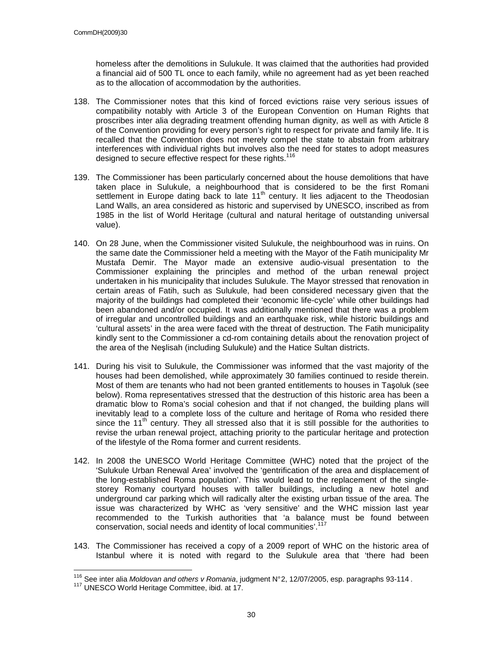homeless after the demolitions in Sulukule. It was claimed that the authorities had provided a financial aid of 500 TL once to each family, while no agreement had as yet been reached as to the allocation of accommodation by the authorities.

- 138. The Commissioner notes that this kind of forced evictions raise very serious issues of compatibility notably with Article 3 of the European Convention on Human Rights that proscribes inter alia degrading treatment offending human dignity, as well as with Article 8 of the Convention providing for every person's right to respect for private and family life. It is recalled that the Convention does not merely compel the state to abstain from arbitrary interferences with individual rights but involves also the need for states to adopt measures designed to secure effective respect for these rights.<sup>116</sup>
- 139. The Commissioner has been particularly concerned about the house demolitions that have taken place in Sulukule, a neighbourhood that is considered to be the first Romani settlement in Europe dating back to late 11<sup>th</sup> century. It lies adjacent to the Theodosian Land Walls, an area considered as historic and supervised by UNESCO, inscribed as from 1985 in the list of World Heritage (cultural and natural heritage of outstanding universal value).
- 140. On 28 June, when the Commissioner visited Sulukule, the neighbourhood was in ruins. On the same date the Commissioner held a meeting with the Mayor of the Fatih municipality Mr Mustafa Demir. The Mayor made an extensive audio-visual presentation to the Commissioner explaining the principles and method of the urban renewal project undertaken in his municipality that includes Sulukule. The Mayor stressed that renovation in certain areas of Fatih, such as Sulukule, had been considered necessary given that the majority of the buildings had completed their 'economic life-cycle' while other buildings had been abandoned and/or occupied. It was additionally mentioned that there was a problem of irregular and uncontrolled buildings and an earthquake risk, while historic buildings and 'cultural assets' in the area were faced with the threat of destruction. The Fatih municipality kindly sent to the Commissioner a cd-rom containing details about the renovation project of the area of the Neşlisah (including Sulukule) and the Hatice Sultan districts.
- 141. During his visit to Sulukule, the Commissioner was informed that the vast majority of the houses had been demolished, while approximately 30 families continued to reside therein. Most of them are tenants who had not been granted entitlements to houses in Taşoluk (see below). Roma representatives stressed that the destruction of this historic area has been a dramatic blow to Roma's social cohesion and that if not changed, the building plans will inevitably lead to a complete loss of the culture and heritage of Roma who resided there since the  $11<sup>th</sup>$  century. They all stressed also that it is still possible for the authorities to revise the urban renewal project, attaching priority to the particular heritage and protection of the lifestyle of the Roma former and current residents.
- 142. In 2008 the UNESCO World Heritage Committee (WHC) noted that the project of the 'Sulukule Urban Renewal Area' involved the 'gentrification of the area and displacement of the long-established Roma population'. This would lead to the replacement of the singlestorey Romany courtyard houses with taller buildings, including a new hotel and underground car parking which will radically alter the existing urban tissue of the area. The issue was characterized by WHC as 'very sensitive' and the WHC mission last year recommended to the Turkish authorities that 'a balance must be found between conservation, social needs and identity of local communities'.<sup>117</sup>
- 143. The Commissioner has received a copy of a 2009 report of WHC on the historic area of Istanbul where it is noted with regard to the Sulukule area that 'there had been

 $\overline{a}$ 

<sup>&</sup>lt;sup>116</sup> See inter alia Moldovan and others v Romania, judgment N°2, 12/07/2005, esp. paragraphs 93-114.

<sup>117</sup> UNESCO World Heritage Committee, ibid. at 17.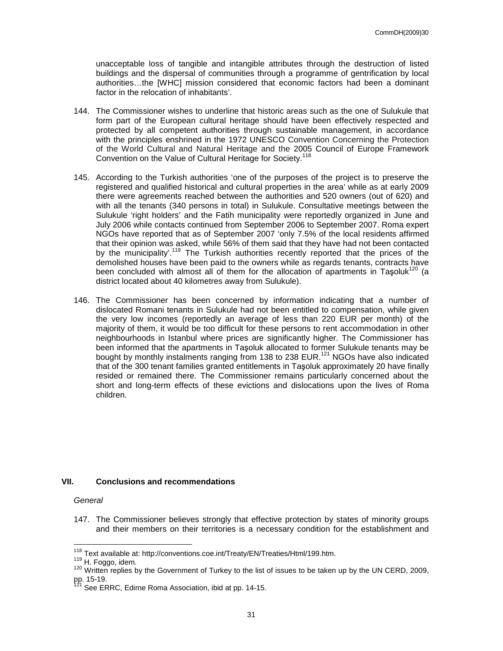unacceptable loss of tangible and intangible attributes through the destruction of listed buildings and the dispersal of communities through a programme of gentrification by local authorities…the [WHC] mission considered that economic factors had been a dominant factor in the relocation of inhabitants'.

- 144. The Commissioner wishes to underline that historic areas such as the one of Sulukule that form part of the European cultural heritage should have been effectively respected and protected by all competent authorities through sustainable management, in accordance with the principles enshrined in the 1972 UNESCO Convention Concerning the Protection of the World Cultural and Natural Heritage and the 2005 Council of Europe Framework Convention on the Value of Cultural Heritage for Society.<sup>118</sup>
- 145. According to the Turkish authorities 'one of the purposes of the project is to preserve the registered and qualified historical and cultural properties in the area' while as at early 2009 there were agreements reached between the authorities and 520 owners (out of 620) and with all the tenants (340 persons in total) in Sulukule. Consultative meetings between the Sulukule 'right holders' and the Fatih municipality were reportedly organized in June and July 2006 while contacts continued from September 2006 to September 2007. Roma expert NGOs have reported that as of September 2007 'only 7.5% of the local residents affirmed that their opinion was asked, while 56% of them said that they have had not been contacted by the municipality'.<sup>119</sup> The Turkish authorities recently reported that the prices of the demolished houses have been paid to the owners while as regards tenants, contracts have been concluded with almost all of them for the allocation of apartments in Tasoluk<sup>120</sup> (a district located about 40 kilometres away from Sulukule).
- 146. The Commissioner has been concerned by information indicating that a number of dislocated Romani tenants in Sulukule had not been entitled to compensation, while given the very low incomes (reportedly an average of less than 220 EUR per month) of the majority of them, it would be too difficult for these persons to rent accommodation in other neighbourhoods in Istanbul where prices are significantly higher. The Commissioner has been informed that the apartments in Taşoluk allocated to former Sulukule tenants may be bought by monthly instalments ranging from 138 to 238 EUR.<sup>121</sup> NGOs have also indicated that of the 300 tenant families granted entitlements in Taşoluk approximately 20 have finally resided or remained there. The Commissioner remains particularly concerned about the short and long-term effects of these evictions and dislocations upon the lives of Roma children.

#### **VII. Conclusions and recommendations**

#### **General**

 $\overline{\phantom{a}}$ 

147. The Commissioner believes strongly that effective protection by states of minority groups and their members on their territories is a necessary condition for the establishment and

<sup>&</sup>lt;sup>118</sup> Text available at: http://conventions.coe.int/Treaty/EN/Treaties/Html/199.htm.

<sup>119</sup> H. Foggo, idem.

<sup>&</sup>lt;sup>120</sup> Written replies by the Government of Turkey to the list of issues to be taken up by the UN CERD, 2009, pp. 15-19.

See ERRC, Edirne Roma Association, ibid at pp. 14-15.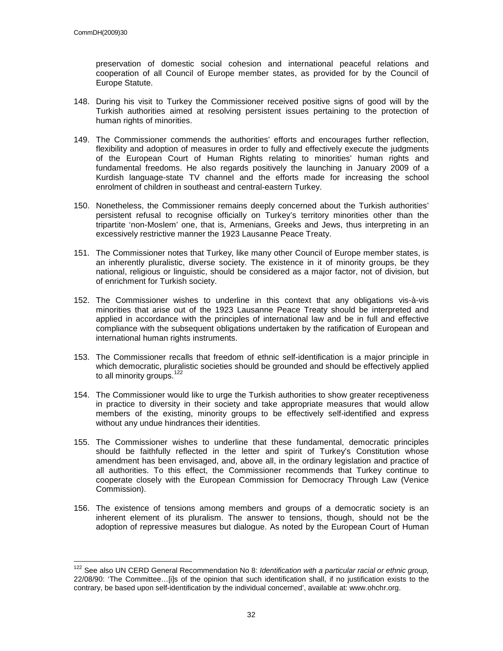$\overline{\phantom{a}}$ 

preservation of domestic social cohesion and international peaceful relations and cooperation of all Council of Europe member states, as provided for by the Council of Europe Statute.

- 148. During his visit to Turkey the Commissioner received positive signs of good will by the Turkish authorities aimed at resolving persistent issues pertaining to the protection of human rights of minorities.
- 149. The Commissioner commends the authorities' efforts and encourages further reflection, flexibility and adoption of measures in order to fully and effectively execute the judgments of the European Court of Human Rights relating to minorities' human rights and fundamental freedoms. He also regards positively the launching in January 2009 of a Kurdish language-state TV channel and the efforts made for increasing the school enrolment of children in southeast and central-eastern Turkey.
- 150. Nonetheless, the Commissioner remains deeply concerned about the Turkish authorities' persistent refusal to recognise officially on Turkey's territory minorities other than the tripartite 'non-Moslem' one, that is, Armenians, Greeks and Jews, thus interpreting in an excessively restrictive manner the 1923 Lausanne Peace Treaty.
- 151. The Commissioner notes that Turkey, like many other Council of Europe member states, is an inherently pluralistic, diverse society. The existence in it of minority groups, be they national, religious or linguistic, should be considered as a major factor, not of division, but of enrichment for Turkish society.
- 152. The Commissioner wishes to underline in this context that any obligations vis-à-vis minorities that arise out of the 1923 Lausanne Peace Treaty should be interpreted and applied in accordance with the principles of international law and be in full and effective compliance with the subsequent obligations undertaken by the ratification of European and international human rights instruments.
- 153. The Commissioner recalls that freedom of ethnic self-identification is a major principle in which democratic, pluralistic societies should be grounded and should be effectively applied to all minority groups.<sup>122</sup>
- 154. The Commissioner would like to urge the Turkish authorities to show greater receptiveness in practice to diversity in their society and take appropriate measures that would allow members of the existing, minority groups to be effectively self-identified and express without any undue hindrances their identities.
- 155. The Commissioner wishes to underline that these fundamental, democratic principles should be faithfully reflected in the letter and spirit of Turkey's Constitution whose amendment has been envisaged, and, above all, in the ordinary legislation and practice of all authorities. To this effect, the Commissioner recommends that Turkey continue to cooperate closely with the European Commission for Democracy Through Law (Venice Commission).
- 156. The existence of tensions among members and groups of a democratic society is an inherent element of its pluralism. The answer to tensions, though, should not be the adoption of repressive measures but dialogue. As noted by the European Court of Human

<sup>&</sup>lt;sup>122</sup> See also UN CERD General Recommendation No 8: Identification with a particular racial or ethnic group, 22/08/90: 'The Committee…[i]s of the opinion that such identification shall, if no justification exists to the contrary, be based upon self-identification by the individual concerned', available at: www.ohchr.org.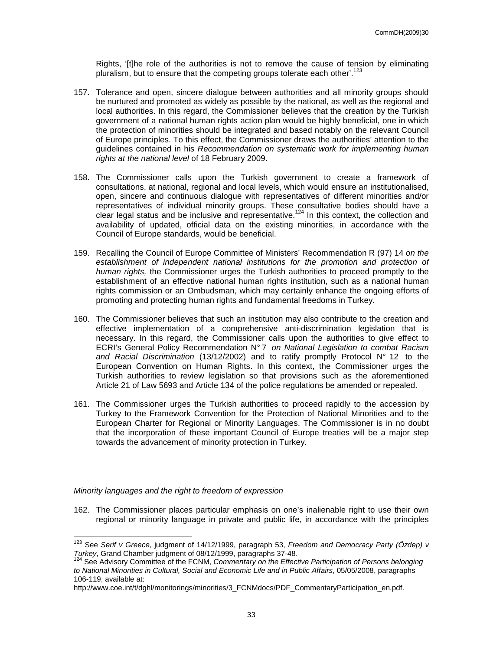Rights, '[t]he role of the authorities is not to remove the cause of tension by eliminating pluralism, but to ensure that the competing groups tolerate each other'.<sup>123</sup>

- 157. Tolerance and open, sincere dialogue between authorities and all minority groups should be nurtured and promoted as widely as possible by the national, as well as the regional and local authorities. In this regard, the Commissioner believes that the creation by the Turkish government of a national human rights action plan would be highly beneficial, one in which the protection of minorities should be integrated and based notably on the relevant Council of Europe principles. To this effect, the Commissioner draws the authorities' attention to the guidelines contained in his Recommendation on systematic work for implementing human rights at the national level of 18 February 2009.
- 158. The Commissioner calls upon the Turkish government to create a framework of consultations, at national, regional and local levels, which would ensure an institutionalised, open, sincere and continuous dialogue with representatives of different minorities and/or representatives of individual minority groups. These consultative bodies should have a clear legal status and be inclusive and representative.<sup>124</sup> In this context, the collection and availability of updated, official data on the existing minorities, in accordance with the Council of Europe standards, would be beneficial.
- 159. Recalling the Council of Europe Committee of Ministers' Recommendation R (97) 14 on the establishment of independent national institutions for the promotion and protection of human rights, the Commissioner urges the Turkish authorities to proceed promptly to the establishment of an effective national human rights institution, such as a national human rights commission or an Ombudsman, which may certainly enhance the ongoing efforts of promoting and protecting human rights and fundamental freedoms in Turkey.
- 160. The Commissioner believes that such an institution may also contribute to the creation and effective implementation of a comprehensive anti-discrimination legislation that is necessary. In this regard, the Commissioner calls upon the authorities to give effect to ECRI's General Policy Recommendation N° 7 on National Legislation to combat Racism and Racial Discrimination (13/12/2002) and to ratify promptly Protocol N° 12 to the European Convention on Human Rights. In this context, the Commissioner urges the Turkish authorities to review legislation so that provisions such as the aforementioned Article 21 of Law 5693 and Article 134 of the police regulations be amended or repealed.
- 161. The Commissioner urges the Turkish authorities to proceed rapidly to the accession by Turkey to the Framework Convention for the Protection of National Minorities and to the European Charter for Regional or Minority Languages. The Commissioner is in no doubt that the incorporation of these important Council of Europe treaties will be a major step towards the advancement of minority protection in Turkey.

#### Minority languages and the right to freedom of expression

162. The Commissioner places particular emphasis on one's inalienable right to use their own regional or minority language in private and public life, in accordance with the principles

 $\overline{\phantom{a}}$  $123$  See Serif v Greece, judgment of 14/12/1999, paragraph 53, Freedom and Democracy Party (Özdep) v Turkey, Grand Chamber judgment of 08/12/1999, paragraphs 37-48.

<sup>&</sup>lt;sup>124</sup> See Advisory Committee of the FCNM, Commentary on the Effective Participation of Persons belonging to National Minorities in Cultural, Social and Economic Life and in Public Affairs, 05/05/2008, paragraphs 106-119, available at:

http://www.coe.int/t/dghl/monitorings/minorities/3\_FCNMdocs/PDF\_CommentaryParticipation\_en.pdf.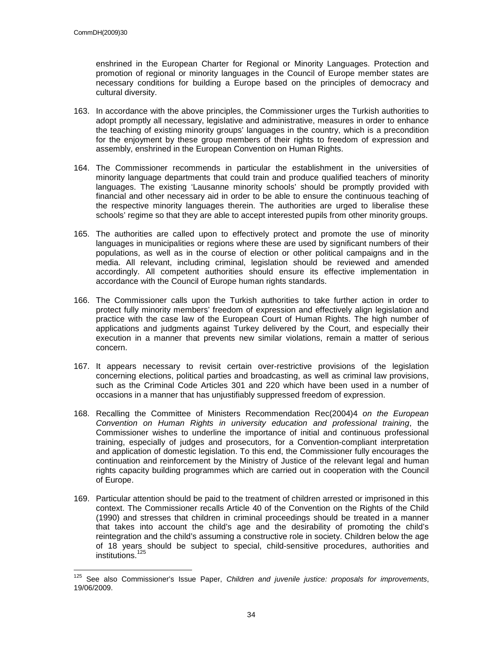enshrined in the European Charter for Regional or Minority Languages. Protection and promotion of regional or minority languages in the Council of Europe member states are necessary conditions for building a Europe based on the principles of democracy and cultural diversity.

- 163. In accordance with the above principles, the Commissioner urges the Turkish authorities to adopt promptly all necessary, legislative and administrative, measures in order to enhance the teaching of existing minority groups' languages in the country, which is a precondition for the enjoyment by these group members of their rights to freedom of expression and assembly, enshrined in the European Convention on Human Rights.
- 164. The Commissioner recommends in particular the establishment in the universities of minority language departments that could train and produce qualified teachers of minority languages. The existing 'Lausanne minority schools' should be promptly provided with financial and other necessary aid in order to be able to ensure the continuous teaching of the respective minority languages therein. The authorities are urged to liberalise these schools' regime so that they are able to accept interested pupils from other minority groups.
- 165. The authorities are called upon to effectively protect and promote the use of minority languages in municipalities or regions where these are used by significant numbers of their populations, as well as in the course of election or other political campaigns and in the media. All relevant, including criminal, legislation should be reviewed and amended accordingly. All competent authorities should ensure its effective implementation in accordance with the Council of Europe human rights standards.
- 166. The Commissioner calls upon the Turkish authorities to take further action in order to protect fully minority members' freedom of expression and effectively align legislation and practice with the case law of the European Court of Human Rights. The high number of applications and judgments against Turkey delivered by the Court, and especially their execution in a manner that prevents new similar violations, remain a matter of serious concern.
- 167. It appears necessary to revisit certain over-restrictive provisions of the legislation concerning elections, political parties and broadcasting, as well as criminal law provisions, such as the Criminal Code Articles 301 and 220 which have been used in a number of occasions in a manner that has unjustifiably suppressed freedom of expression.
- 168. Recalling the Committee of Ministers Recommendation Rec(2004)4 on the European Convention on Human Rights in university education and professional training, the Commissioner wishes to underline the importance of initial and continuous professional training, especially of judges and prosecutors, for a Convention-compliant interpretation and application of domestic legislation. To this end, the Commissioner fully encourages the continuation and reinforcement by the Ministry of Justice of the relevant legal and human rights capacity building programmes which are carried out in cooperation with the Council of Europe.
- 169. Particular attention should be paid to the treatment of children arrested or imprisoned in this context. The Commissioner recalls Article 40 of the Convention on the Rights of the Child (1990) and stresses that children in criminal proceedings should be treated in a manner that takes into account the child's age and the desirability of promoting the child's reintegration and the child's assuming a constructive role in society. Children below the age of 18 years should be subject to special, child-sensitive procedures, authorities and institutions.<sup>125</sup>

 $125$ See also Commissioner's Issue Paper, Children and juvenile justice: proposals for improvements, 19/06/2009.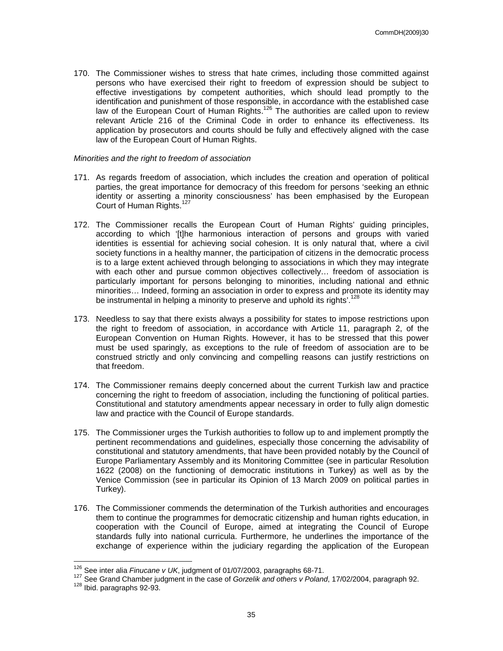170. The Commissioner wishes to stress that hate crimes, including those committed against persons who have exercised their right to freedom of expression should be subject to effective investigations by competent authorities, which should lead promptly to the identification and punishment of those responsible, in accordance with the established case law of the European Court of Human Rights.<sup>126</sup> The authorities are called upon to review relevant Article 216 of the Criminal Code in order to enhance its effectiveness. Its application by prosecutors and courts should be fully and effectively aligned with the case law of the European Court of Human Rights.

#### Minorities and the right to freedom of association

- 171. As regards freedom of association, which includes the creation and operation of political parties, the great importance for democracy of this freedom for persons 'seeking an ethnic identity or asserting a minority consciousness' has been emphasised by the European Court of Human Rights.<sup>127</sup>
- 172. The Commissioner recalls the European Court of Human Rights' guiding principles, according to which '[t]he harmonious interaction of persons and groups with varied identities is essential for achieving social cohesion. It is only natural that, where a civil society functions in a healthy manner, the participation of citizens in the democratic process is to a large extent achieved through belonging to associations in which they may integrate with each other and pursue common objectives collectively… freedom of association is particularly important for persons belonging to minorities, including national and ethnic minorities… Indeed, forming an association in order to express and promote its identity may be instrumental in helping a minority to preserve and uphold its rights'.<sup>128</sup>
- 173. Needless to say that there exists always a possibility for states to impose restrictions upon the right to freedom of association, in accordance with Article 11, paragraph 2, of the European Convention on Human Rights. However, it has to be stressed that this power must be used sparingly, as exceptions to the rule of freedom of association are to be construed strictly and only convincing and compelling reasons can justify restrictions on that freedom.
- 174. The Commissioner remains deeply concerned about the current Turkish law and practice concerning the right to freedom of association, including the functioning of political parties. Constitutional and statutory amendments appear necessary in order to fully align domestic law and practice with the Council of Europe standards.
- 175. The Commissioner urges the Turkish authorities to follow up to and implement promptly the pertinent recommendations and guidelines, especially those concerning the advisability of constitutional and statutory amendments, that have been provided notably by the Council of Europe Parliamentary Assembly and its Monitoring Committee (see in particular Resolution 1622 (2008) on the functioning of democratic institutions in Turkey) as well as by the Venice Commission (see in particular its Opinion of 13 March 2009 on political parties in Turkey).
- 176. The Commissioner commends the determination of the Turkish authorities and encourages them to continue the programmes for democratic citizenship and human rights education, in cooperation with the Council of Europe, aimed at integrating the Council of Europe standards fully into national curricula. Furthermore, he underlines the importance of the exchange of experience within the judiciary regarding the application of the European

 $\overline{\phantom{a}}$ 

 $126$  See inter alia Finucane v UK, judgment of 01/07/2003, paragraphs 68-71.

<sup>127</sup> See Grand Chamber judgment in the case of *Gorzelik and others v Poland*, 17/02/2004, paragraph 92.

<sup>128</sup> Ibid. paragraphs 92-93.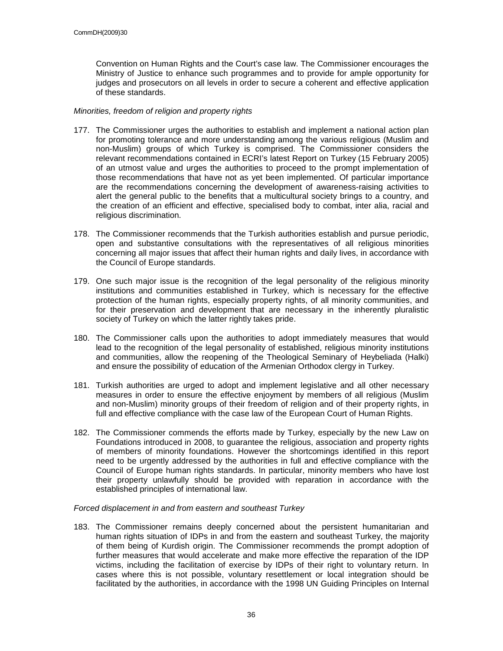Convention on Human Rights and the Court's case law. The Commissioner encourages the Ministry of Justice to enhance such programmes and to provide for ample opportunity for judges and prosecutors on all levels in order to secure a coherent and effective application of these standards.

#### Minorities, freedom of religion and property rights

- 177. The Commissioner urges the authorities to establish and implement a national action plan for promoting tolerance and more understanding among the various religious (Muslim and non-Muslim) groups of which Turkey is comprised. The Commissioner considers the relevant recommendations contained in ECRI's latest Report on Turkey (15 February 2005) of an utmost value and urges the authorities to proceed to the prompt implementation of those recommendations that have not as yet been implemented. Of particular importance are the recommendations concerning the development of awareness-raising activities to alert the general public to the benefits that a multicultural society brings to a country, and the creation of an efficient and effective, specialised body to combat, inter alia, racial and religious discrimination.
- 178. The Commissioner recommends that the Turkish authorities establish and pursue periodic, open and substantive consultations with the representatives of all religious minorities concerning all major issues that affect their human rights and daily lives, in accordance with the Council of Europe standards.
- 179. One such major issue is the recognition of the legal personality of the religious minority institutions and communities established in Turkey, which is necessary for the effective protection of the human rights, especially property rights, of all minority communities, and for their preservation and development that are necessary in the inherently pluralistic society of Turkey on which the latter rightly takes pride.
- 180. The Commissioner calls upon the authorities to adopt immediately measures that would lead to the recognition of the legal personality of established, religious minority institutions and communities, allow the reopening of the Theological Seminary of Heybeliada (Halki) and ensure the possibility of education of the Armenian Orthodox clergy in Turkey.
- 181. Turkish authorities are urged to adopt and implement legislative and all other necessary measures in order to ensure the effective enjoyment by members of all religious (Muslim and non-Muslim) minority groups of their freedom of religion and of their property rights, in full and effective compliance with the case law of the European Court of Human Rights.
- 182. The Commissioner commends the efforts made by Turkey, especially by the new Law on Foundations introduced in 2008, to guarantee the religious, association and property rights of members of minority foundations. However the shortcomings identified in this report need to be urgently addressed by the authorities in full and effective compliance with the Council of Europe human rights standards. In particular, minority members who have lost their property unlawfully should be provided with reparation in accordance with the established principles of international law.

#### Forced displacement in and from eastern and southeast Turkey

183. The Commissioner remains deeply concerned about the persistent humanitarian and human rights situation of IDPs in and from the eastern and southeast Turkey, the majority of them being of Kurdish origin. The Commissioner recommends the prompt adoption of further measures that would accelerate and make more effective the reparation of the IDP victims, including the facilitation of exercise by IDPs of their right to voluntary return. In cases where this is not possible, voluntary resettlement or local integration should be facilitated by the authorities, in accordance with the 1998 UN Guiding Principles on Internal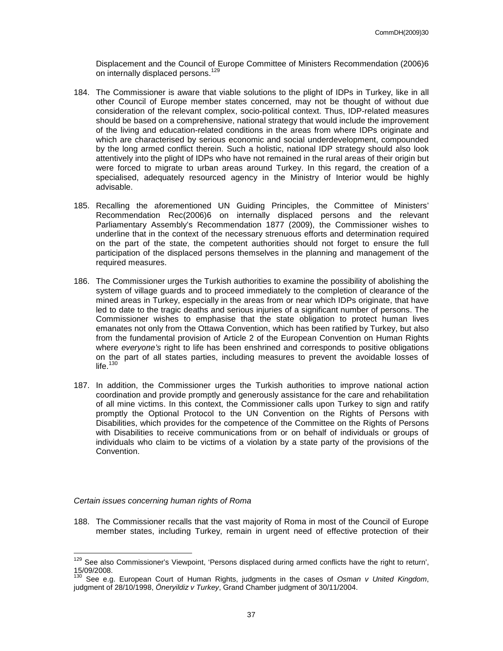Displacement and the Council of Europe Committee of Ministers Recommendation (2006)6 on internally displaced persons.<sup>129</sup>

- 184. The Commissioner is aware that viable solutions to the plight of IDPs in Turkey, like in all other Council of Europe member states concerned, may not be thought of without due consideration of the relevant complex, socio-political context. Thus, IDP-related measures should be based on a comprehensive, national strategy that would include the improvement of the living and education-related conditions in the areas from where IDPs originate and which are characterised by serious economic and social underdevelopment, compounded by the long armed conflict therein. Such a holistic, national IDP strategy should also look attentively into the plight of IDPs who have not remained in the rural areas of their origin but were forced to migrate to urban areas around Turkey. In this regard, the creation of a specialised, adequately resourced agency in the Ministry of Interior would be highly advisable.
- 185. Recalling the aforementioned UN Guiding Principles, the Committee of Ministers' Recommendation Rec(2006)6 on internally displaced persons and the relevant Parliamentary Assembly's Recommendation 1877 (2009), the Commissioner wishes to underline that in the context of the necessary strenuous efforts and determination required on the part of the state, the competent authorities should not forget to ensure the full participation of the displaced persons themselves in the planning and management of the required measures.
- 186. The Commissioner urges the Turkish authorities to examine the possibility of abolishing the system of village guards and to proceed immediately to the completion of clearance of the mined areas in Turkey, especially in the areas from or near which IDPs originate, that have led to date to the tragic deaths and serious injuries of a significant number of persons. The Commissioner wishes to emphasise that the state obligation to protect human lives emanates not only from the Ottawa Convention, which has been ratified by Turkey, but also from the fundamental provision of Article 2 of the European Convention on Human Rights where everyone's right to life has been enshrined and corresponds to positive obligations on the part of all states parties, including measures to prevent the avoidable losses of life. $130$
- 187. In addition, the Commissioner urges the Turkish authorities to improve national action coordination and provide promptly and generously assistance for the care and rehabilitation of all mine victims. In this context, the Commissioner calls upon Turkey to sign and ratify promptly the Optional Protocol to the UN Convention on the Rights of Persons with Disabilities, which provides for the competence of the Committee on the Rights of Persons with Disabilities to receive communications from or on behalf of individuals or groups of individuals who claim to be victims of a violation by a state party of the provisions of the Convention.

#### Certain issues concerning human rights of Roma

 $\overline{a}$ 

188. The Commissioner recalls that the vast majority of Roma in most of the Council of Europe member states, including Turkey, remain in urgent need of effective protection of their

<sup>&</sup>lt;sup>129</sup> See also Commissioner's Viewpoint, 'Persons displaced during armed conflicts have the right to return', 15/09/2008.

See e.g. European Court of Human Rights, judgments in the cases of Osman v United Kingdom, judgment of 28/10/1998, Öneryildiz v Turkey, Grand Chamber judgment of 30/11/2004.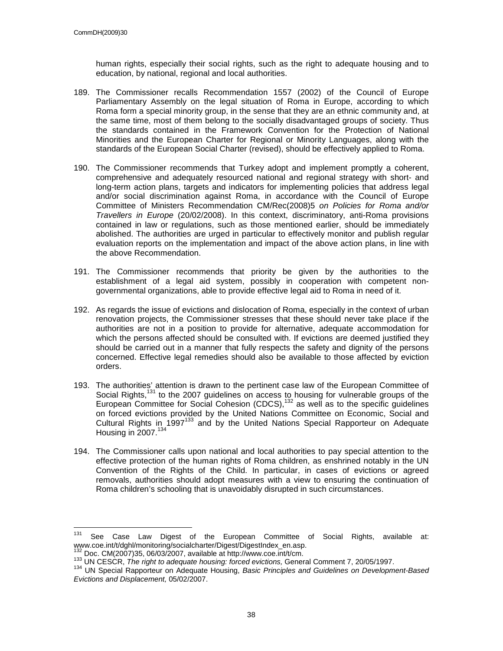human rights, especially their social rights, such as the right to adequate housing and to education, by national, regional and local authorities.

- 189. The Commissioner recalls Recommendation 1557 (2002) of the Council of Europe Parliamentary Assembly on the legal situation of Roma in Europe, according to which Roma form a special minority group, in the sense that they are an ethnic community and, at the same time, most of them belong to the socially disadvantaged groups of society. Thus the standards contained in the Framework Convention for the Protection of National Minorities and the European Charter for Regional or Minority Languages, along with the standards of the European Social Charter (revised), should be effectively applied to Roma.
- 190. The Commissioner recommends that Turkey adopt and implement promptly a coherent, comprehensive and adequately resourced national and regional strategy with short- and long-term action plans, targets and indicators for implementing policies that address legal and/or social discrimination against Roma, in accordance with the Council of Europe Committee of Ministers Recommendation CM/Rec(2008)5 on Policies for Roma and/or Travellers in Europe (20/02/2008). In this context, discriminatory, anti-Roma provisions contained in law or regulations, such as those mentioned earlier, should be immediately abolished. The authorities are urged in particular to effectively monitor and publish regular evaluation reports on the implementation and impact of the above action plans, in line with the above Recommendation.
- 191. The Commissioner recommends that priority be given by the authorities to the establishment of a legal aid system, possibly in cooperation with competent nongovernmental organizations, able to provide effective legal aid to Roma in need of it.
- 192. As regards the issue of evictions and dislocation of Roma, especially in the context of urban renovation projects, the Commissioner stresses that these should never take place if the authorities are not in a position to provide for alternative, adequate accommodation for which the persons affected should be consulted with. If evictions are deemed justified they should be carried out in a manner that fully respects the safety and dignity of the persons concerned. Effective legal remedies should also be available to those affected by eviction orders.
- 193. The authorities' attention is drawn to the pertinent case law of the European Committee of Social Rights,<sup>131</sup> to the 2007 guidelines on access to housing for vulnerable groups of the European Committee for Social Cohesion (CDCS),<sup>132</sup> as well as to the specific guidelines on forced evictions provided by the United Nations Committee on Economic, Social and Cultural Rights in 1997<sup>133</sup> and by the United Nations Special Rapporteur on Adequate Housing in  $2007.<sup>134</sup>$
- 194. The Commissioner calls upon national and local authorities to pay special attention to the effective protection of the human rights of Roma children, as enshrined notably in the UN Convention of the Rights of the Child. In particular, in cases of evictions or agreed removals, authorities should adopt measures with a view to ensuring the continuation of Roma children's schooling that is unavoidably disrupted in such circumstances.

<sup>131</sup> See Case Law Digest of the European Committee of Social Rights, available at: www.coe.int/t/dghl/monitoring/socialcharter/Digest/DigestIndex\_en.asp.  $132$  Doc. CM(2007)35, 06/03/2007, available at http://www.coe.int/t/cm.

<sup>133</sup> UN CESCR, The right to adequate housing: forced evictions, General Comment 7, 20/05/1997.

<sup>134</sup> UN Special Rapporteur on Adequate Housing, Basic Principles and Guidelines on Development-Based Evictions and Displacement, 05/02/2007.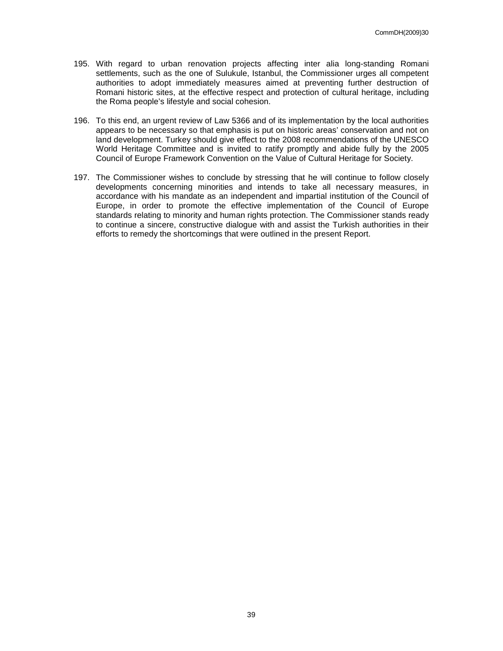- 195. With regard to urban renovation projects affecting inter alia long-standing Romani settlements, such as the one of Sulukule, Istanbul, the Commissioner urges all competent authorities to adopt immediately measures aimed at preventing further destruction of Romani historic sites, at the effective respect and protection of cultural heritage, including the Roma people's lifestyle and social cohesion.
- 196. To this end, an urgent review of Law 5366 and of its implementation by the local authorities appears to be necessary so that emphasis is put on historic areas' conservation and not on land development. Turkey should give effect to the 2008 recommendations of the UNESCO World Heritage Committee and is invited to ratify promptly and abide fully by the 2005 Council of Europe Framework Convention on the Value of Cultural Heritage for Society.
- 197. The Commissioner wishes to conclude by stressing that he will continue to follow closely developments concerning minorities and intends to take all necessary measures, in accordance with his mandate as an independent and impartial institution of the Council of Europe, in order to promote the effective implementation of the Council of Europe standards relating to minority and human rights protection. The Commissioner stands ready to continue a sincere, constructive dialogue with and assist the Turkish authorities in their efforts to remedy the shortcomings that were outlined in the present Report.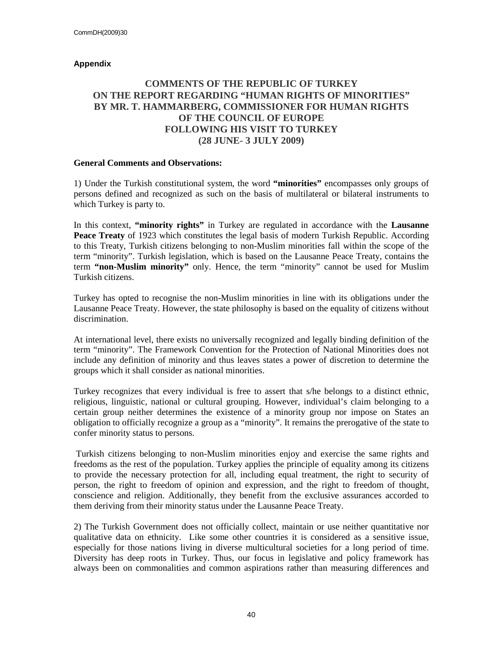## **Appendix**

## **COMMENTS OF THE REPUBLIC OF TURKEY ON THE REPORT REGARDING "HUMAN RIGHTS OF MINORITIES" BY MR. T. HAMMARBERG, COMMISSIONER FOR HUMAN RIGHTS OF THE COUNCIL OF EUROPE FOLLOWING HIS VISIT TO TURKEY (28 JUNE- 3 JULY 2009)**

#### **General Comments and Observations:**

1) Under the Turkish constitutional system, the word **"minorities"** encompasses only groups of persons defined and recognized as such on the basis of multilateral or bilateral instruments to which Turkey is party to.

In this context, **"minority rights"** in Turkey are regulated in accordance with the **Lausanne Peace Treaty** of 1923 which constitutes the legal basis of modern Turkish Republic. According to this Treaty, Turkish citizens belonging to non-Muslim minorities fall within the scope of the term "minority". Turkish legislation, which is based on the Lausanne Peace Treaty, contains the term **"non-Muslim minority"** only. Hence, the term "minority" cannot be used for Muslim Turkish citizens.

Turkey has opted to recognise the non-Muslim minorities in line with its obligations under the Lausanne Peace Treaty. However, the state philosophy is based on the equality of citizens without discrimination.

At international level, there exists no universally recognized and legally binding definition of the term "minority". The Framework Convention for the Protection of National Minorities does not include any definition of minority and thus leaves states a power of discretion to determine the groups which it shall consider as national minorities.

Turkey recognizes that every individual is free to assert that s/he belongs to a distinct ethnic, religious, linguistic, national or cultural grouping. However, individual's claim belonging to a certain group neither determines the existence of a minority group nor impose on States an obligation to officially recognize a group as a "minority". It remains the prerogative of the state to confer minority status to persons.

 Turkish citizens belonging to non-Muslim minorities enjoy and exercise the same rights and freedoms as the rest of the population. Turkey applies the principle of equality among its citizens to provide the necessary protection for all, including equal treatment, the right to security of person, the right to freedom of opinion and expression, and the right to freedom of thought, conscience and religion. Additionally, they benefit from the exclusive assurances accorded to them deriving from their minority status under the Lausanne Peace Treaty.

2) The Turkish Government does not officially collect, maintain or use neither quantitative nor qualitative data on ethnicity. Like some other countries it is considered as a sensitive issue, especially for those nations living in diverse multicultural societies for a long period of time. Diversity has deep roots in Turkey. Thus, our focus in legislative and policy framework has always been on commonalities and common aspirations rather than measuring differences and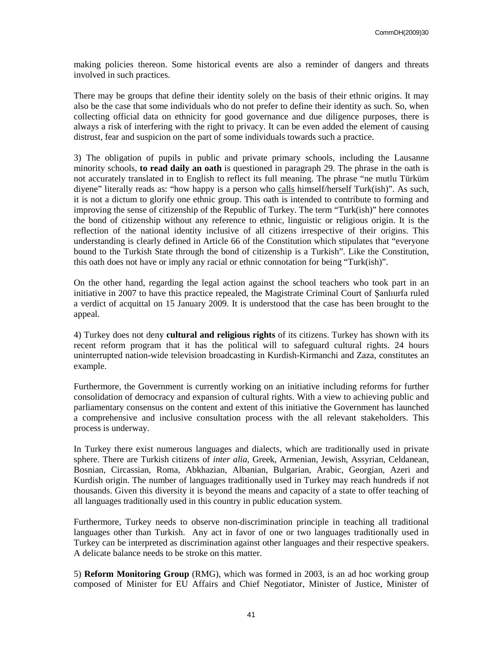making policies thereon. Some historical events are also a reminder of dangers and threats involved in such practices.

There may be groups that define their identity solely on the basis of their ethnic origins. It may also be the case that some individuals who do not prefer to define their identity as such. So, when collecting official data on ethnicity for good governance and due diligence purposes, there is always a risk of interfering with the right to privacy. It can be even added the element of causing distrust, fear and suspicion on the part of some individuals towards such a practice.

3) The obligation of pupils in public and private primary schools, including the Lausanne minority schools, **to read daily an oath** is questioned in paragraph 29. The phrase in the oath is not accurately translated in to English to reflect its full meaning. The phrase "ne mutlu Türküm diyene" literally reads as: "how happy is a person who calls himself/herself Turk(ish)". As such, it is not a dictum to glorify one ethnic group. This oath is intended to contribute to forming and improving the sense of citizenship of the Republic of Turkey. The term "Turk(ish)" here connotes the bond of citizenship without any reference to ethnic, linguistic or religious origin. It is the reflection of the national identity inclusive of all citizens irrespective of their origins. This understanding is clearly defined in Article 66 of the Constitution which stipulates that "everyone bound to the Turkish State through the bond of citizenship is a Turkish". Like the Constitution, this oath does not have or imply any racial or ethnic connotation for being "Turk(ish)".

On the other hand, regarding the legal action against the school teachers who took part in an initiative in 2007 to have this practice repealed, the Magistrate Criminal Court of Şanlıurfa ruled a verdict of acquittal on 15 January 2009. It is understood that the case has been brought to the appeal.

4) Turkey does not deny **cultural and religious rights** of its citizens. Turkey has shown with its recent reform program that it has the political will to safeguard cultural rights. 24 hours uninterrupted nation-wide television broadcasting in Kurdish-Kirmanchi and Zaza, constitutes an example.

Furthermore, the Government is currently working on an initiative including reforms for further consolidation of democracy and expansion of cultural rights. With a view to achieving public and parliamentary consensus on the content and extent of this initiative the Government has launched a comprehensive and inclusive consultation process with the all relevant stakeholders. This process is underway.

In Turkey there exist numerous languages and dialects, which are traditionally used in private sphere. There are Turkish citizens of *inter alia*, Greek, Armenian, Jewish, Assyrian, Celdanean, Bosnian, Circassian, Roma, Abkhazian, Albanian, Bulgarian, Arabic, Georgian, Azeri and Kurdish origin. The number of languages traditionally used in Turkey may reach hundreds if not thousands. Given this diversity it is beyond the means and capacity of a state to offer teaching of all languages traditionally used in this country in public education system.

Furthermore, Turkey needs to observe non-discrimination principle in teaching all traditional languages other than Turkish. Any act in favor of one or two languages traditionally used in Turkey can be interpreted as discrimination against other languages and their respective speakers. A delicate balance needs to be stroke on this matter.

5) **Reform Monitoring Group** (RMG), which was formed in 2003, is an ad hoc working group composed of Minister for EU Affairs and Chief Negotiator, Minister of Justice, Minister of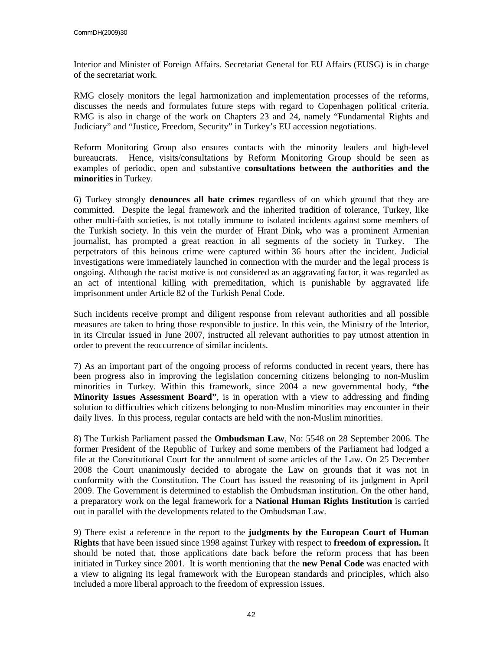Interior and Minister of Foreign Affairs. Secretariat General for EU Affairs (EUSG) is in charge of the secretariat work.

RMG closely monitors the legal harmonization and implementation processes of the reforms, discusses the needs and formulates future steps with regard to Copenhagen political criteria. RMG is also in charge of the work on Chapters 23 and 24, namely "Fundamental Rights and Judiciary" and "Justice, Freedom, Security" in Turkey's EU accession negotiations.

Reform Monitoring Group also ensures contacts with the minority leaders and high-level bureaucrats. Hence, visits/consultations by Reform Monitoring Group should be seen as examples of periodic, open and substantive **consultations between the authorities and the minorities** in Turkey.

6) Turkey strongly **denounces all hate crimes** regardless of on which ground that they are committed. Despite the legal framework and the inherited tradition of tolerance, Turkey, like other multi-faith societies, is not totally immune to isolated incidents against some members of the Turkish society. In this vein the murder of Hrant Dink**,** who was a prominent Armenian journalist, has prompted a great reaction in all segments of the society in Turkey. The perpetrators of this heinous crime were captured within 36 hours after the incident. Judicial investigations were immediately launched in connection with the murder and the legal process is ongoing. Although the racist motive is not considered as an aggravating factor, it was regarded as an act of intentional killing with premeditation, which is punishable by aggravated life imprisonment under Article 82 of the Turkish Penal Code.

Such incidents receive prompt and diligent response from relevant authorities and all possible measures are taken to bring those responsible to justice. In this vein, the Ministry of the Interior, in its Circular issued in June 2007, instructed all relevant authorities to pay utmost attention in order to prevent the reoccurrence of similar incidents.

7) As an important part of the ongoing process of reforms conducted in recent years, there has been progress also in improving the legislation concerning citizens belonging to non-Muslim minorities in Turkey. Within this framework, since 2004 a new governmental body, **"the Minority Issues Assessment Board"**, is in operation with a view to addressing and finding solution to difficulties which citizens belonging to non-Muslim minorities may encounter in their daily lives. In this process, regular contacts are held with the non-Muslim minorities.

8) The Turkish Parliament passed the **Ombudsman Law**, No: 5548 on 28 September 2006. The former President of the Republic of Turkey and some members of the Parliament had lodged a file at the Constitutional Court for the annulment of some articles of the Law. On 25 December 2008 the Court unanimously decided to abrogate the Law on grounds that it was not in conformity with the Constitution. The Court has issued the reasoning of its judgment in April 2009. The Government is determined to establish the Ombudsman institution. On the other hand, a preparatory work on the legal framework for a **National Human Rights Institution** is carried out in parallel with the developments related to the Ombudsman Law.

9) There exist a reference in the report to the **judgments by the European Court of Human Rights** that have been issued since 1998 against Turkey with respect to **freedom of expression.** It should be noted that, those applications date back before the reform process that has been initiated in Turkey since 2001. It is worth mentioning that the **new Penal Code** was enacted with a view to aligning its legal framework with the European standards and principles, which also included a more liberal approach to the freedom of expression issues.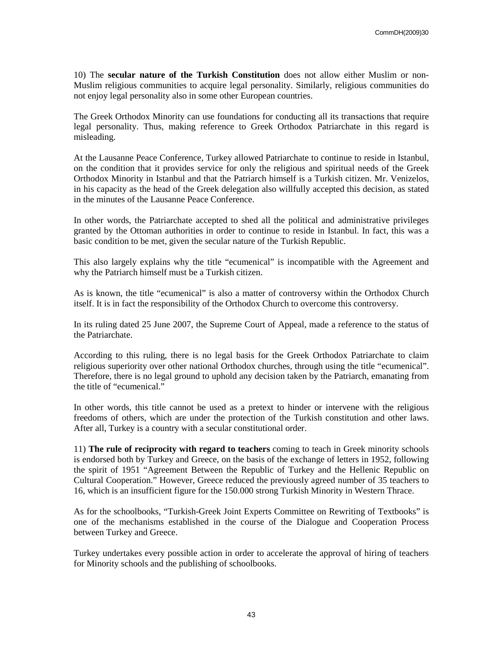10) The **secular nature of the Turkish Constitution** does not allow either Muslim or non-Muslim religious communities to acquire legal personality. Similarly, religious communities do not enjoy legal personality also in some other European countries.

The Greek Orthodox Minority can use foundations for conducting all its transactions that require legal personality. Thus, making reference to Greek Orthodox Patriarchate in this regard is misleading.

At the Lausanne Peace Conference, Turkey allowed Patriarchate to continue to reside in Istanbul, on the condition that it provides service for only the religious and spiritual needs of the Greek Orthodox Minority in Istanbul and that the Patriarch himself is a Turkish citizen. Mr. Venizelos, in his capacity as the head of the Greek delegation also willfully accepted this decision, as stated in the minutes of the Lausanne Peace Conference.

In other words, the Patriarchate accepted to shed all the political and administrative privileges granted by the Ottoman authorities in order to continue to reside in Istanbul. In fact, this was a basic condition to be met, given the secular nature of the Turkish Republic.

This also largely explains why the title "ecumenical" is incompatible with the Agreement and why the Patriarch himself must be a Turkish citizen.

As is known, the title "ecumenical" is also a matter of controversy within the Orthodox Church itself. It is in fact the responsibility of the Orthodox Church to overcome this controversy.

In its ruling dated 25 June 2007, the Supreme Court of Appeal, made a reference to the status of the Patriarchate.

According to this ruling, there is no legal basis for the Greek Orthodox Patriarchate to claim religious superiority over other national Orthodox churches, through using the title "ecumenical". Therefore, there is no legal ground to uphold any decision taken by the Patriarch, emanating from the title of "ecumenical."

In other words, this title cannot be used as a pretext to hinder or intervene with the religious freedoms of others, which are under the protection of the Turkish constitution and other laws. After all, Turkey is a country with a secular constitutional order.

11) **The rule of reciprocity with regard to teachers** coming to teach in Greek minority schools is endorsed both by Turkey and Greece, on the basis of the exchange of letters in 1952, following the spirit of 1951 "Agreement Between the Republic of Turkey and the Hellenic Republic on Cultural Cooperation." However, Greece reduced the previously agreed number of 35 teachers to 16, which is an insufficient figure for the 150.000 strong Turkish Minority in Western Thrace.

As for the schoolbooks, "Turkish-Greek Joint Experts Committee on Rewriting of Textbooks" is one of the mechanisms established in the course of the Dialogue and Cooperation Process between Turkey and Greece.

Turkey undertakes every possible action in order to accelerate the approval of hiring of teachers for Minority schools and the publishing of schoolbooks.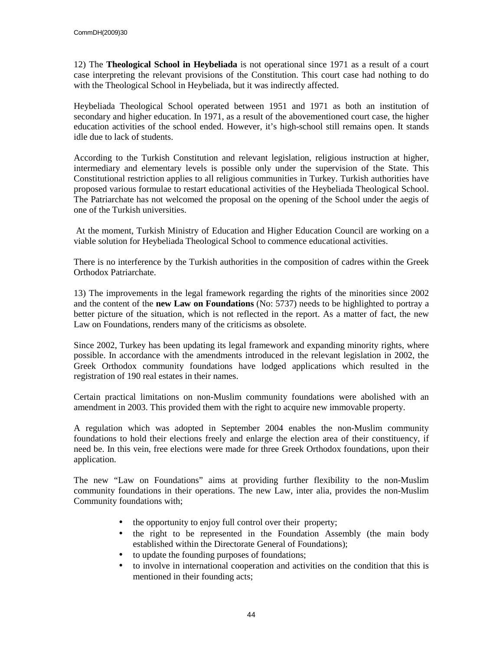12) The **Theological School in Heybeliada** is not operational since 1971 as a result of a court case interpreting the relevant provisions of the Constitution. This court case had nothing to do with the Theological School in Heybeliada, but it was indirectly affected.

Heybeliada Theological School operated between 1951 and 1971 as both an institution of secondary and higher education. In 1971, as a result of the abovementioned court case, the higher education activities of the school ended. However, it's high-school still remains open. It stands idle due to lack of students.

According to the Turkish Constitution and relevant legislation, religious instruction at higher, intermediary and elementary levels is possible only under the supervision of the State. This Constitutional restriction applies to all religious communities in Turkey. Turkish authorities have proposed various formulae to restart educational activities of the Heybeliada Theological School. The Patriarchate has not welcomed the proposal on the opening of the School under the aegis of one of the Turkish universities.

 At the moment, Turkish Ministry of Education and Higher Education Council are working on a viable solution for Heybeliada Theological School to commence educational activities.

There is no interference by the Turkish authorities in the composition of cadres within the Greek Orthodox Patriarchate.

13) The improvements in the legal framework regarding the rights of the minorities since 2002 and the content of the **new Law on Foundations** (No: 5737) needs to be highlighted to portray a better picture of the situation, which is not reflected in the report. As a matter of fact, the new Law on Foundations, renders many of the criticisms as obsolete.

Since 2002, Turkey has been updating its legal framework and expanding minority rights, where possible. In accordance with the amendments introduced in the relevant legislation in 2002, the Greek Orthodox community foundations have lodged applications which resulted in the registration of 190 real estates in their names.

Certain practical limitations on non-Muslim community foundations were abolished with an amendment in 2003. This provided them with the right to acquire new immovable property.

A regulation which was adopted in September 2004 enables the non-Muslim community foundations to hold their elections freely and enlarge the election area of their constituency, if need be. In this vein, free elections were made for three Greek Orthodox foundations, upon their application.

The new "Law on Foundations" aims at providing further flexibility to the non-Muslim community foundations in their operations. The new Law, inter alia, provides the non-Muslim Community foundations with;

- the opportunity to enjoy full control over their property;
- the right to be represented in the Foundation Assembly (the main body established within the Directorate General of Foundations);
- to update the founding purposes of foundations;
- to involve in international cooperation and activities on the condition that this is mentioned in their founding acts;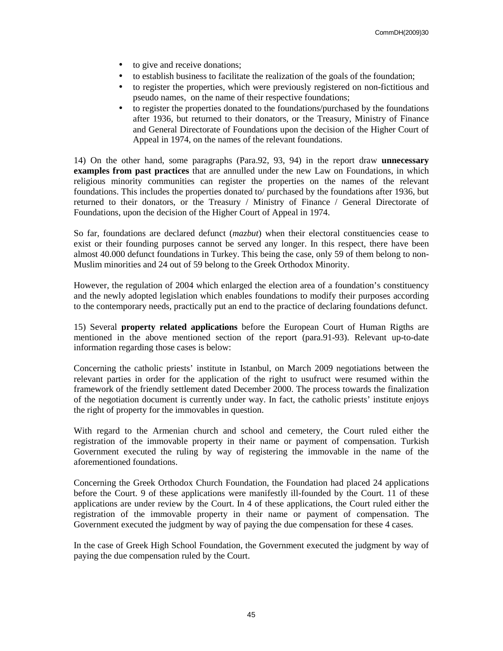- to give and receive donations;
- to establish business to facilitate the realization of the goals of the foundation;
- to register the properties, which were previously registered on non-fictitious and pseudo names, on the name of their respective foundations;
- to register the properties donated to the foundations/purchased by the foundations after 1936, but returned to their donators, or the Treasury, Ministry of Finance and General Directorate of Foundations upon the decision of the Higher Court of Appeal in 1974, on the names of the relevant foundations.

14) On the other hand, some paragraphs (Para.92, 93, 94) in the report draw **unnecessary examples from past practices** that are annulled under the new Law on Foundations, in which religious minority communities can register the properties on the names of the relevant foundations. This includes the properties donated to/ purchased by the foundations after 1936, but returned to their donators, or the Treasury / Ministry of Finance / General Directorate of Foundations, upon the decision of the Higher Court of Appeal in 1974.

So far, foundations are declared defunct (*mazbut*) when their electoral constituencies cease to exist or their founding purposes cannot be served any longer. In this respect, there have been almost 40.000 defunct foundations in Turkey. This being the case, only 59 of them belong to non-Muslim minorities and 24 out of 59 belong to the Greek Orthodox Minority.

However, the regulation of 2004 which enlarged the election area of a foundation's constituency and the newly adopted legislation which enables foundations to modify their purposes according to the contemporary needs, practically put an end to the practice of declaring foundations defunct.

15) Several **property related applications** before the European Court of Human Rigths are mentioned in the above mentioned section of the report (para.91-93). Relevant up-to-date information regarding those cases is below:

Concerning the catholic priests' institute in Istanbul, on March 2009 negotiations between the relevant parties in order for the application of the right to usufruct were resumed within the framework of the friendly settlement dated December 2000. The process towards the finalization of the negotiation document is currently under way. In fact, the catholic priests' institute enjoys the right of property for the immovables in question.

With regard to the Armenian church and school and cemetery, the Court ruled either the registration of the immovable property in their name or payment of compensation. Turkish Government executed the ruling by way of registering the immovable in the name of the aforementioned foundations.

Concerning the Greek Orthodox Church Foundation, the Foundation had placed 24 applications before the Court. 9 of these applications were manifestly ill-founded by the Court. 11 of these applications are under review by the Court. In 4 of these applications, the Court ruled either the registration of the immovable property in their name or payment of compensation. The Government executed the judgment by way of paying the due compensation for these 4 cases.

In the case of Greek High School Foundation, the Government executed the judgment by way of paying the due compensation ruled by the Court.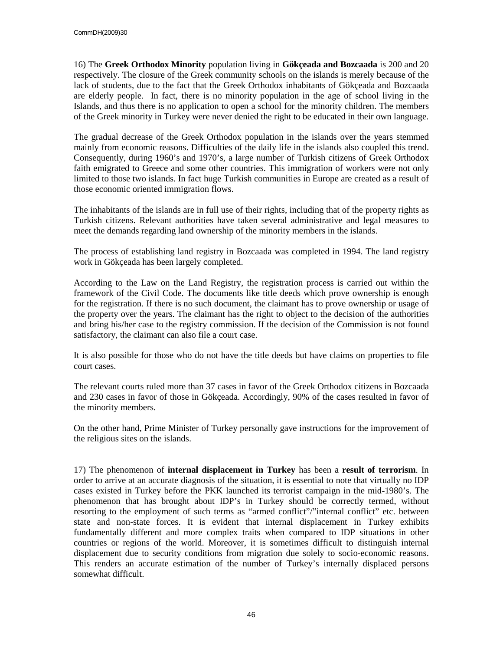16) The **Greek Orthodox Minority** population living in **Gökçeada and Bozcaada** is 200 and 20 respectively. The closure of the Greek community schools on the islands is merely because of the lack of students, due to the fact that the Greek Orthodox inhabitants of Gökçeada and Bozcaada are elderly people. In fact, there is no minority population in the age of school living in the Islands, and thus there is no application to open a school for the minority children. The members of the Greek minority in Turkey were never denied the right to be educated in their own language.

The gradual decrease of the Greek Orthodox population in the islands over the years stemmed mainly from economic reasons. Difficulties of the daily life in the islands also coupled this trend. Consequently, during 1960's and 1970's, a large number of Turkish citizens of Greek Orthodox faith emigrated to Greece and some other countries. This immigration of workers were not only limited to those two islands. In fact huge Turkish communities in Europe are created as a result of those economic oriented immigration flows.

The inhabitants of the islands are in full use of their rights, including that of the property rights as Turkish citizens. Relevant authorities have taken several administrative and legal measures to meet the demands regarding land ownership of the minority members in the islands.

The process of establishing land registry in Bozcaada was completed in 1994. The land registry work in Gökçeada has been largely completed.

According to the Law on the Land Registry, the registration process is carried out within the framework of the Civil Code. The documents like title deeds which prove ownership is enough for the registration. If there is no such document, the claimant has to prove ownership or usage of the property over the years. The claimant has the right to object to the decision of the authorities and bring his/her case to the registry commission. If the decision of the Commission is not found satisfactory, the claimant can also file a court case.

It is also possible for those who do not have the title deeds but have claims on properties to file court cases.

The relevant courts ruled more than 37 cases in favor of the Greek Orthodox citizens in Bozcaada and 230 cases in favor of those in Gökçeada. Accordingly, 90% of the cases resulted in favor of the minority members.

On the other hand, Prime Minister of Turkey personally gave instructions for the improvement of the religious sites on the islands.

17) The phenomenon of **internal displacement in Turkey** has been a **result of terrorism**. In order to arrive at an accurate diagnosis of the situation, it is essential to note that virtually no IDP cases existed in Turkey before the PKK launched its terrorist campaign in the mid-1980's. The phenomenon that has brought about IDP's in Turkey should be correctly termed, without resorting to the employment of such terms as "armed conflict"/"internal conflict" etc. between state and non-state forces. It is evident that internal displacement in Turkey exhibits fundamentally different and more complex traits when compared to IDP situations in other countries or regions of the world. Moreover, it is sometimes difficult to distinguish internal displacement due to security conditions from migration due solely to socio-economic reasons. This renders an accurate estimation of the number of Turkey's internally displaced persons somewhat difficult.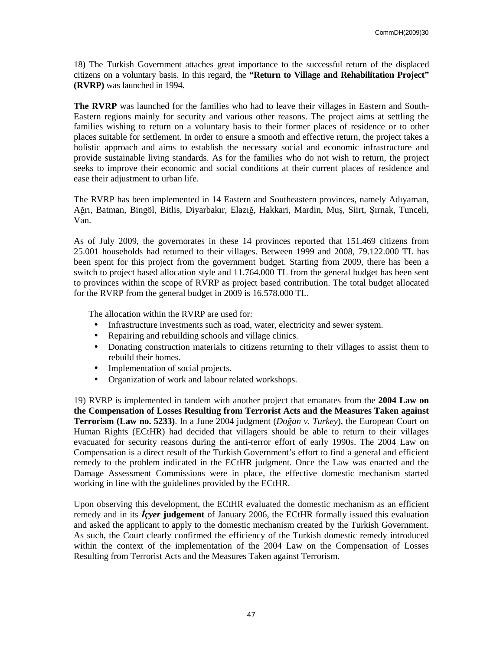18) The Turkish Government attaches great importance to the successful return of the displaced citizens on a voluntary basis. In this regard, the **"Return to Village and Rehabilitation Project" (RVRP)** was launched in 1994.

**The RVRP** was launched for the families who had to leave their villages in Eastern and South-Eastern regions mainly for security and various other reasons. The project aims at settling the families wishing to return on a voluntary basis to their former places of residence or to other places suitable for settlement. In order to ensure a smooth and effective return, the project takes a holistic approach and aims to establish the necessary social and economic infrastructure and provide sustainable living standards. As for the families who do not wish to return, the project seeks to improve their economic and social conditions at their current places of residence and ease their adjustment to urban life.

The RVRP has been implemented in 14 Eastern and Southeastern provinces, namely Adıyaman, Ağrı, Batman, Bingöl, Bitlis, Diyarbakır, Elazığ, Hakkari, Mardin, Muş, Siirt, Şırnak, Tunceli, Van.

As of July 2009, the governorates in these 14 provinces reported that 151.469 citizens from 25.001 households had returned to their villages. Between 1999 and 2008, 79.122.000 TL has been spent for this project from the government budget. Starting from 2009, there has been a switch to project based allocation style and 11.764.000 TL from the general budget has been sent to provinces within the scope of RVRP as project based contribution. The total budget allocated for the RVRP from the general budget in 2009 is 16.578.000 TL.

The allocation within the RVRP are used for:

- Infrastructure investments such as road, water, electricity and sewer system.
- Repairing and rebuilding schools and village clinics.
- Donating construction materials to citizens returning to their villages to assist them to rebuild their homes.
- Implementation of social projects.
- Organization of work and labour related workshops.

19) RVRP is implemented in tandem with another project that emanates from the **2004 Law on the Compensation of Losses Resulting from Terrorist Acts and the Measures Taken against Terrorism (Law no. 5233)**. In a June 2004 judgment (*Do*ğ*an v. Turkey*), the European Court on Human Rights (ECtHR) had decided that villagers should be able to return to their villages evacuated for security reasons during the anti-terror effort of early 1990s. The 2004 Law on Compensation is a direct result of the Turkish Government's effort to find a general and efficient remedy to the problem indicated in the ECtHR judgment. Once the Law was enacted and the Damage Assessment Commissions were in place, the effective domestic mechanism started working in line with the guidelines provided by the ECtHR.

Upon observing this development, the ECtHR evaluated the domestic mechanism as an efficient remedy and in its *lcyer* judgement of January 2006, the ECtHR formally issued this evaluation and asked the applicant to apply to the domestic mechanism created by the Turkish Government. As such, the Court clearly confirmed the efficiency of the Turkish domestic remedy introduced within the context of the implementation of the 2004 Law on the Compensation of Losses Resulting from Terrorist Acts and the Measures Taken against Terrorism.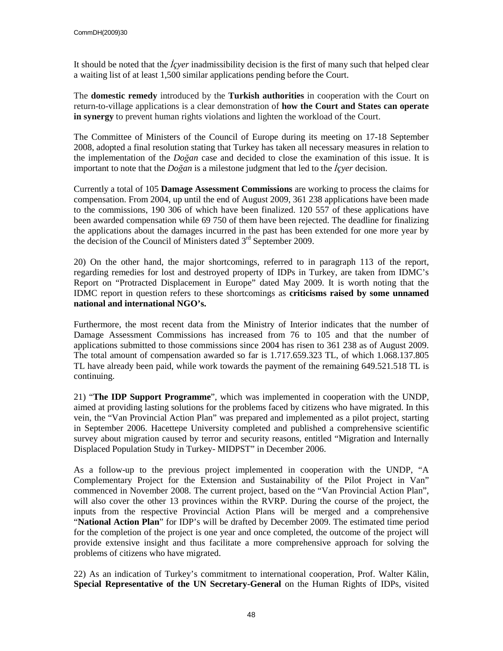It should be noted that the *lever* inadmissibility decision is the first of many such that helped clear a waiting list of at least 1,500 similar applications pending before the Court.

The **domestic remedy** introduced by the **Turkish authorities** in cooperation with the Court on return-to-village applications is a clear demonstration of **how the Court and States can operate in synergy** to prevent human rights violations and lighten the workload of the Court.

The Committee of Ministers of the Council of Europe during its meeting on 17-18 September 2008, adopted a final resolution stating that Turkey has taken all necessary measures in relation to the implementation of the *Do*ğ*an* case and decided to close the examination of this issue. It is important to note that the *Doğan* is a milestone judgment that led to the *lcver* decision.

Currently a total of 105 **Damage Assessment Commissions** are working to process the claims for compensation. From 2004, up until the end of August 2009, 361 238 applications have been made to the commissions, 190 306 of which have been finalized. 120 557 of these applications have been awarded compensation while 69 750 of them have been rejected. The deadline for finalizing the applications about the damages incurred in the past has been extended for one more year by the decision of the Council of Ministers dated  $3<sup>rd</sup>$  September 2009.

20) On the other hand, the major shortcomings, referred to in paragraph 113 of the report, regarding remedies for lost and destroyed property of IDPs in Turkey, are taken from IDMC's Report on "Protracted Displacement in Europe" dated May 2009. It is worth noting that the IDMC report in question refers to these shortcomings as **criticisms raised by some unnamed national and international NGO's.**

Furthermore, the most recent data from the Ministry of Interior indicates that the number of Damage Assessment Commissions has increased from 76 to 105 and that the number of applications submitted to those commissions since 2004 has risen to 361 238 as of August 2009. The total amount of compensation awarded so far is 1.717.659.323 TL, of which 1.068.137.805 TL have already been paid, while work towards the payment of the remaining 649.521.518 TL is continuing.

21) "**The IDP Support Programme**", which was implemented in cooperation with the UNDP, aimed at providing lasting solutions for the problems faced by citizens who have migrated. In this vein, the "Van Provincial Action Plan" was prepared and implemented as a pilot project, starting in September 2006. Hacettepe University completed and published a comprehensive scientific survey about migration caused by terror and security reasons, entitled "Migration and Internally Displaced Population Study in Turkey- MIDPST" in December 2006.

As a follow-up to the previous project implemented in cooperation with the UNDP, "A Complementary Project for the Extension and Sustainability of the Pilot Project in Van" commenced in November 2008. The current project, based on the "Van Provincial Action Plan", will also cover the other 13 provinces within the RVRP. During the course of the project, the inputs from the respective Provincial Action Plans will be merged and a comprehensive "**National Action Plan**" for IDP's will be drafted by December 2009. The estimated time period for the completion of the project is one year and once completed, the outcome of the project will provide extensive insight and thus facilitate a more comprehensive approach for solving the problems of citizens who have migrated.

22) As an indication of Turkey's commitment to international cooperation, Prof. Walter Kälin, **Special Representative of the UN Secretary-General** on the Human Rights of IDPs, visited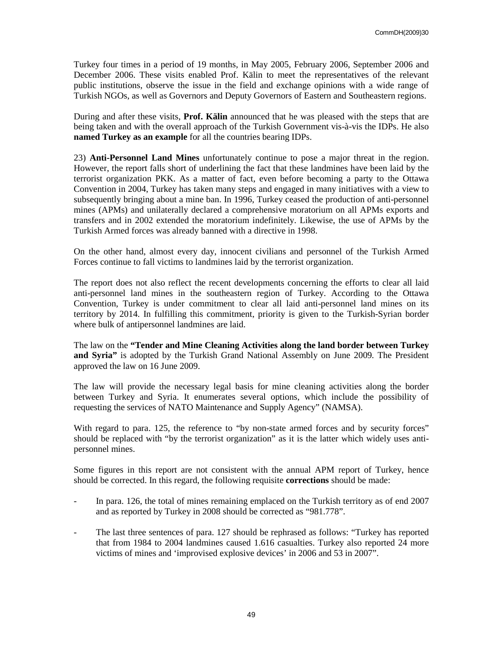Turkey four times in a period of 19 months, in May 2005, February 2006, September 2006 and December 2006. These visits enabled Prof. Kälin to meet the representatives of the relevant public institutions, observe the issue in the field and exchange opinions with a wide range of Turkish NGOs, as well as Governors and Deputy Governors of Eastern and Southeastern regions.

During and after these visits, **Prof. Kälin** announced that he was pleased with the steps that are being taken and with the overall approach of the Turkish Government vis-à-vis the IDPs. He also **named Turkey as an example** for all the countries bearing IDPs.

23) **Anti-Personnel Land Mines** unfortunately continue to pose a major threat in the region. However, the report falls short of underlining the fact that these landmines have been laid by the terrorist organization PKK. As a matter of fact, even before becoming a party to the Ottawa Convention in 2004, Turkey has taken many steps and engaged in many initiatives with a view to subsequently bringing about a mine ban. In 1996, Turkey ceased the production of anti-personnel mines (APMs) and unilaterally declared a comprehensive moratorium on all APMs exports and transfers and in 2002 extended the moratorium indefinitely. Likewise, the use of APMs by the Turkish Armed forces was already banned with a directive in 1998.

On the other hand, almost every day, innocent civilians and personnel of the Turkish Armed Forces continue to fall victims to landmines laid by the terrorist organization.

The report does not also reflect the recent developments concerning the efforts to clear all laid anti-personnel land mines in the southeastern region of Turkey. According to the Ottawa Convention, Turkey is under commitment to clear all laid anti-personnel land mines on its territory by 2014. In fulfilling this commitment, priority is given to the Turkish-Syrian border where bulk of antipersonnel landmines are laid.

The law on the **"Tender and Mine Cleaning Activities along the land border between Turkey and Syria"** is adopted by the Turkish Grand National Assembly on June 2009. The President approved the law on 16 June 2009.

The law will provide the necessary legal basis for mine cleaning activities along the border between Turkey and Syria. It enumerates several options, which include the possibility of requesting the services of NATO Maintenance and Supply Agency" (NAMSA).

With regard to para. 125, the reference to "by non-state armed forces and by security forces" should be replaced with "by the terrorist organization" as it is the latter which widely uses antipersonnel mines.

Some figures in this report are not consistent with the annual APM report of Turkey, hence should be corrected. In this regard, the following requisite **corrections** should be made:

- In para. 126, the total of mines remaining emplaced on the Turkish territory as of end 2007 and as reported by Turkey in 2008 should be corrected as "981.778".
- The last three sentences of para. 127 should be rephrased as follows: "Turkey has reported that from 1984 to 2004 landmines caused 1.616 casualties. Turkey also reported 24 more victims of mines and 'improvised explosive devices' in 2006 and 53 in 2007".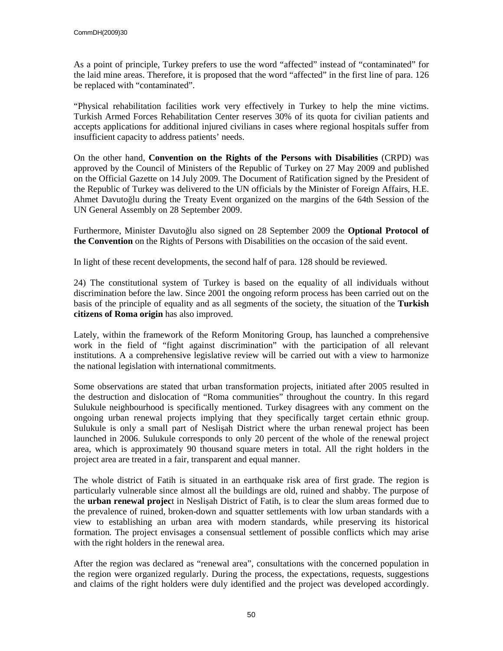As a point of principle, Turkey prefers to use the word "affected" instead of "contaminated" for the laid mine areas. Therefore, it is proposed that the word "affected" in the first line of para. 126 be replaced with "contaminated".

"Physical rehabilitation facilities work very effectively in Turkey to help the mine victims. Turkish Armed Forces Rehabilitation Center reserves 30% of its quota for civilian patients and accepts applications for additional injured civilians in cases where regional hospitals suffer from insufficient capacity to address patients' needs.

On the other hand, **Convention on the Rights of the Persons with Disabilities** (CRPD) was approved by the Council of Ministers of the Republic of Turkey on 27 May 2009 and published on the Official Gazette on 14 July 2009. The Document of Ratification signed by the President of the Republic of Turkey was delivered to the UN officials by the Minister of Foreign Affairs, H.E. Ahmet Davutoğlu during the Treaty Event organized on the margins of the 64th Session of the UN General Assembly on 28 September 2009.

Furthermore, Minister Davutoğlu also signed on 28 September 2009 the **Optional Protocol of the Convention** on the Rights of Persons with Disabilities on the occasion of the said event.

In light of these recent developments, the second half of para. 128 should be reviewed.

24) The constitutional system of Turkey is based on the equality of all individuals without discrimination before the law. Since 2001 the ongoing reform process has been carried out on the basis of the principle of equality and as all segments of the society, the situation of the **Turkish citizens of Roma origin** has also improved.

Lately, within the framework of the Reform Monitoring Group, has launched a comprehensive work in the field of "fight against discrimination" with the participation of all relevant institutions. A a comprehensive legislative review will be carried out with a view to harmonize the national legislation with international commitments.

Some observations are stated that urban transformation projects, initiated after 2005 resulted in the destruction and dislocation of "Roma communities" throughout the country. In this regard Sulukule neighbourhood is specifically mentioned. Turkey disagrees with any comment on the ongoing urban renewal projects implying that they specifically target certain ethnic group. Sulukule is only a small part of Neslişah District where the urban renewal project has been launched in 2006. Sulukule corresponds to only 20 percent of the whole of the renewal project area, which is approximately 90 thousand square meters in total. All the right holders in the project area are treated in a fair, transparent and equal manner.

The whole district of Fatih is situated in an earthquake risk area of first grade. The region is particularly vulnerable since almost all the buildings are old, ruined and shabby. The purpose of the **urban renewal projec**t in Neslişah District of Fatih, is to clear the slum areas formed due to the prevalence of ruined, broken-down and squatter settlements with low urban standards with a view to establishing an urban area with modern standards, while preserving its historical formation. The project envisages a consensual settlement of possible conflicts which may arise with the right holders in the renewal area.

After the region was declared as "renewal area", consultations with the concerned population in the region were organized regularly. During the process, the expectations, requests, suggestions and claims of the right holders were duly identified and the project was developed accordingly.